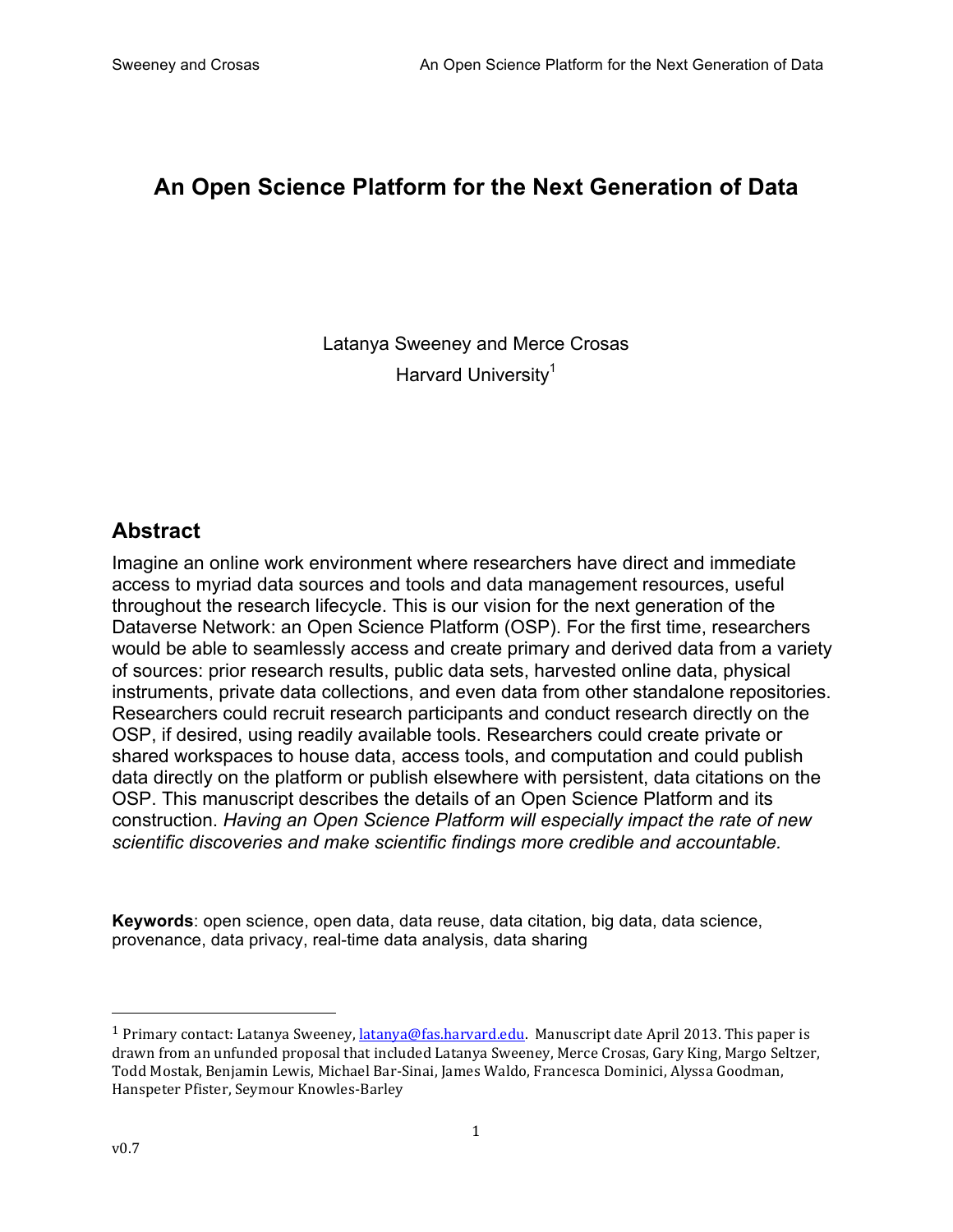# **An Open Science Platform for the Next Generation of Data**

Latanya Sweeney and Merce Crosas Harvard University<sup>1</sup>

### **Abstract**

Imagine an online work environment where researchers have direct and immediate access to myriad data sources and tools and data management resources, useful throughout the research lifecycle. This is our vision for the next generation of the Dataverse Network: an Open Science Platform (OSP). For the first time, researchers would be able to seamlessly access and create primary and derived data from a variety of sources: prior research results, public data sets, harvested online data, physical instruments, private data collections, and even data from other standalone repositories. Researchers could recruit research participants and conduct research directly on the OSP, if desired, using readily available tools. Researchers could create private or shared workspaces to house data, access tools, and computation and could publish data directly on the platform or publish elsewhere with persistent, data citations on the OSP. This manuscript describes the details of an Open Science Platform and its construction. *Having an Open Science Platform will especially impact the rate of new scientific discoveries and make scientific findings more credible and accountable.*

**Keywords**: open science, open data, data reuse, data citation, big data, data science, provenance, data privacy, real-time data analysis, data sharing

 

<sup>&</sup>lt;sup>1</sup> Primary contact: Latanya Sweeney, latanya@fas.harvard.edu. Manuscript date April 2013. This paper is drawn from an unfunded proposal that included Latanya Sweeney, Merce Crosas, Gary King, Margo Seltzer, Todd Mostak, Benjamin Lewis, Michael Bar-Sinai, James Waldo, Francesca Dominici, Alyssa Goodman, Hanspeter Pfister, Seymour Knowles-Barley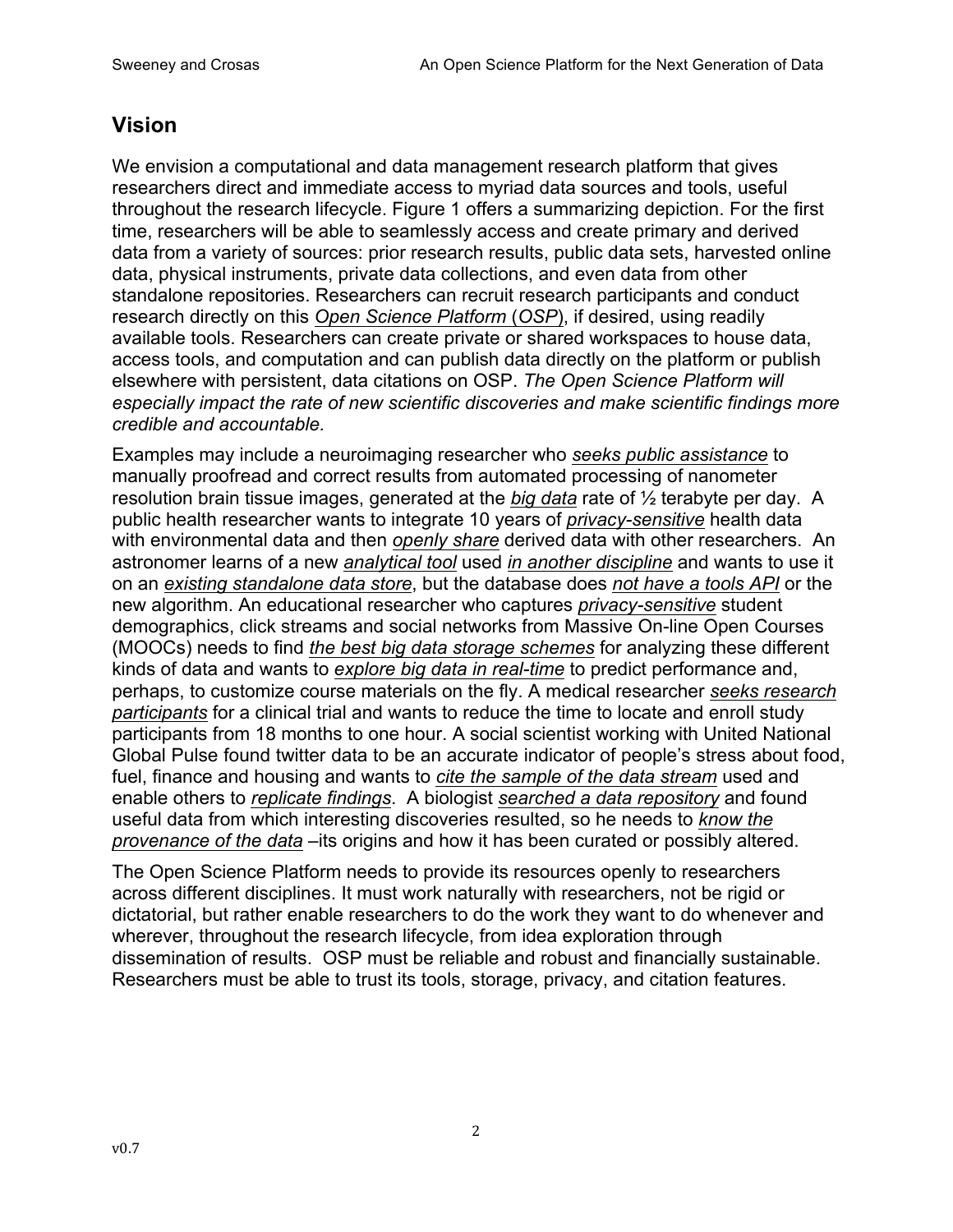## **Vision**

We envision a computational and data management research platform that gives researchers direct and immediate access to myriad data sources and tools, useful throughout the research lifecycle. Figure 1 offers a summarizing depiction. For the first time, researchers will be able to seamlessly access and create primary and derived data from a variety of sources: prior research results, public data sets, harvested online data, physical instruments, private data collections, and even data from other standalone repositories. Researchers can recruit research participants and conduct research directly on this *Open Science Platform* (*OSP*), if desired, using readily available tools. Researchers can create private or shared workspaces to house data, access tools, and computation and can publish data directly on the platform or publish elsewhere with persistent, data citations on OSP. *The Open Science Platform will especially impact the rate of new scientific discoveries and make scientific findings more credible and accountable.*

Examples may include a neuroimaging researcher who *seeks public assistance* to manually proofread and correct results from automated processing of nanometer resolution brain tissue images, generated at the *big data* rate of ½ terabyte per day. A public health researcher wants to integrate 10 years of *privacy-sensitive* health data with environmental data and then *openly share* derived data with other researchers. An astronomer learns of a new *analytical tool* used *in another discipline* and wants to use it on an *existing standalone data store*, but the database does *not have a tools API* or the new algorithm. An educational researcher who captures *privacy-sensitive* student demographics, click streams and social networks from Massive On-line Open Courses (MOOCs) needs to find *the best big data storage schemes* for analyzing these different kinds of data and wants to *explore big data in real-time* to predict performance and, perhaps, to customize course materials on the fly. A medical researcher *seeks research participants* for a clinical trial and wants to reduce the time to locate and enroll study participants from 18 months to one hour. A social scientist working with United National Global Pulse found twitter data to be an accurate indicator of people's stress about food, fuel, finance and housing and wants to *cite the sample of the data stream* used and enable others to *replicate findings*. A biologist *searched a data repository* and found useful data from which interesting discoveries resulted, so he needs to *know the provenance of the data* –its origins and how it has been curated or possibly altered.

The Open Science Platform needs to provide its resources openly to researchers across different disciplines. It must work naturally with researchers, not be rigid or dictatorial, but rather enable researchers to do the work they want to do whenever and wherever, throughout the research lifecycle, from idea exploration through dissemination of results. OSP must be reliable and robust and financially sustainable. Researchers must be able to trust its tools, storage, privacy, and citation features.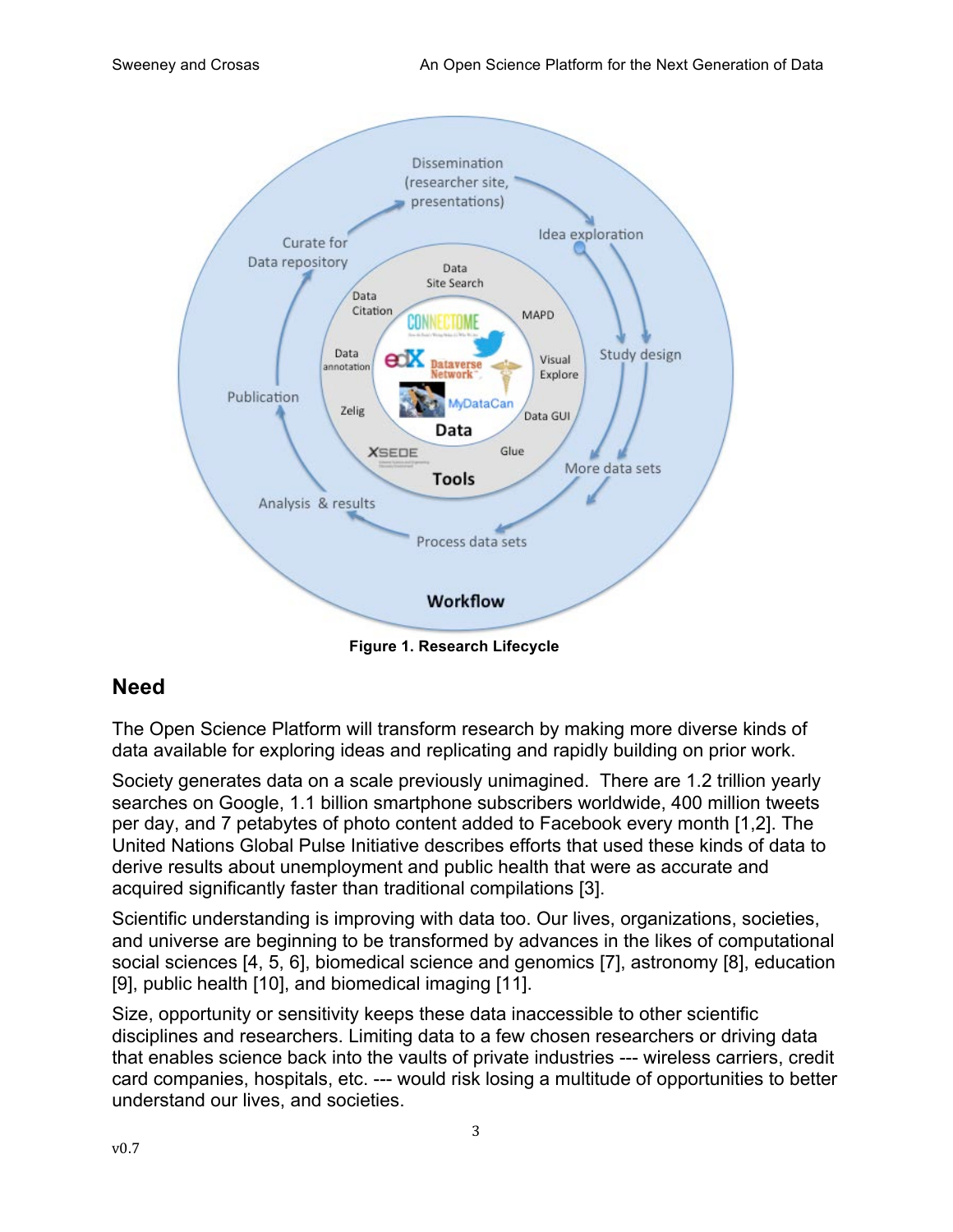

**Figure 1. Research Lifecycle**

### **Need**

The Open Science Platform will transform research by making more diverse kinds of data available for exploring ideas and replicating and rapidly building on prior work.

Society generates data on a scale previously unimagined. There are 1.2 trillion yearly searches on Google, 1.1 billion smartphone subscribers worldwide, 400 million tweets per day, and 7 petabytes of photo content added to Facebook every month [1,2]. The United Nations Global Pulse Initiative describes efforts that used these kinds of data to derive results about unemployment and public health that were as accurate and acquired significantly faster than traditional compilations [3].

Scientific understanding is improving with data too. Our lives, organizations, societies, and universe are beginning to be transformed by advances in the likes of computational social sciences [4, 5, 6], biomedical science and genomics [7], astronomy [8], education [9], public health [10], and biomedical imaging [11].

Size, opportunity or sensitivity keeps these data inaccessible to other scientific disciplines and researchers. Limiting data to a few chosen researchers or driving data that enables science back into the vaults of private industries --- wireless carriers, credit card companies, hospitals, etc. --- would risk losing a multitude of opportunities to better understand our lives, and societies.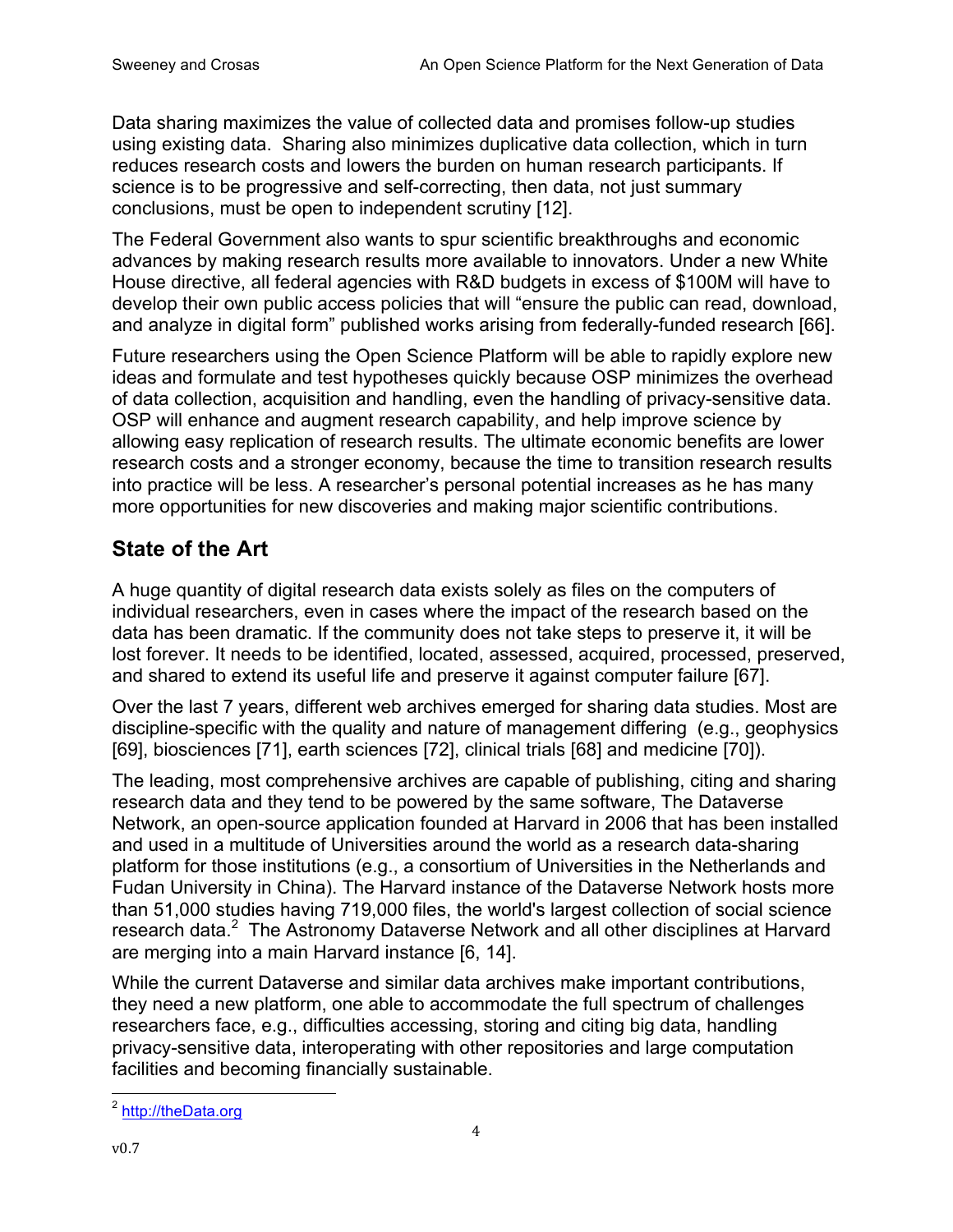Data sharing maximizes the value of collected data and promises follow-up studies using existing data. Sharing also minimizes duplicative data collection, which in turn reduces research costs and lowers the burden on human research participants. If science is to be progressive and self-correcting, then data, not just summary conclusions, must be open to independent scrutiny [12].

The Federal Government also wants to spur scientific breakthroughs and economic advances by making research results more available to innovators. Under a new White House directive, all federal agencies with R&D budgets in excess of \$100M will have to develop their own public access policies that will "ensure the public can read, download, and analyze in digital form" published works arising from federally-funded research [66].

Future researchers using the Open Science Platform will be able to rapidly explore new ideas and formulate and test hypotheses quickly because OSP minimizes the overhead of data collection, acquisition and handling, even the handling of privacy-sensitive data. OSP will enhance and augment research capability, and help improve science by allowing easy replication of research results. The ultimate economic benefits are lower research costs and a stronger economy, because the time to transition research results into practice will be less. A researcher's personal potential increases as he has many more opportunities for new discoveries and making major scientific contributions.

# **State of the Art**

A huge quantity of digital research data exists solely as files on the computers of individual researchers, even in cases where the impact of the research based on the data has been dramatic. If the community does not take steps to preserve it, it will be lost forever. It needs to be identified, located, assessed, acquired, processed, preserved, and shared to extend its useful life and preserve it against computer failure [67].

Over the last 7 years, different web archives emerged for sharing data studies. Most are discipline-specific with the quality and nature of management differing (e.g., geophysics [69], biosciences [71], earth sciences [72], clinical trials [68] and medicine [70]).

The leading, most comprehensive archives are capable of publishing, citing and sharing research data and they tend to be powered by the same software, The Dataverse Network, an open-source application founded at Harvard in 2006 that has been installed and used in a multitude of Universities around the world as a research data-sharing platform for those institutions (e.g., a consortium of Universities in the Netherlands and Fudan University in China). The Harvard instance of the Dataverse Network hosts more than 51,000 studies having 719,000 files, the world's largest collection of social science research data.<sup>2</sup> The Astronomy Dataverse Network and all other disciplines at Harvard are merging into a main Harvard instance [6, 14].

While the current Dataverse and similar data archives make important contributions, they need a new platform, one able to accommodate the full spectrum of challenges researchers face, e.g., difficulties accessing, storing and citing big data, handling privacy-sensitive data, interoperating with other repositories and large computation facilities and becoming financially sustainable.

 <sup>2</sup> http://theData.org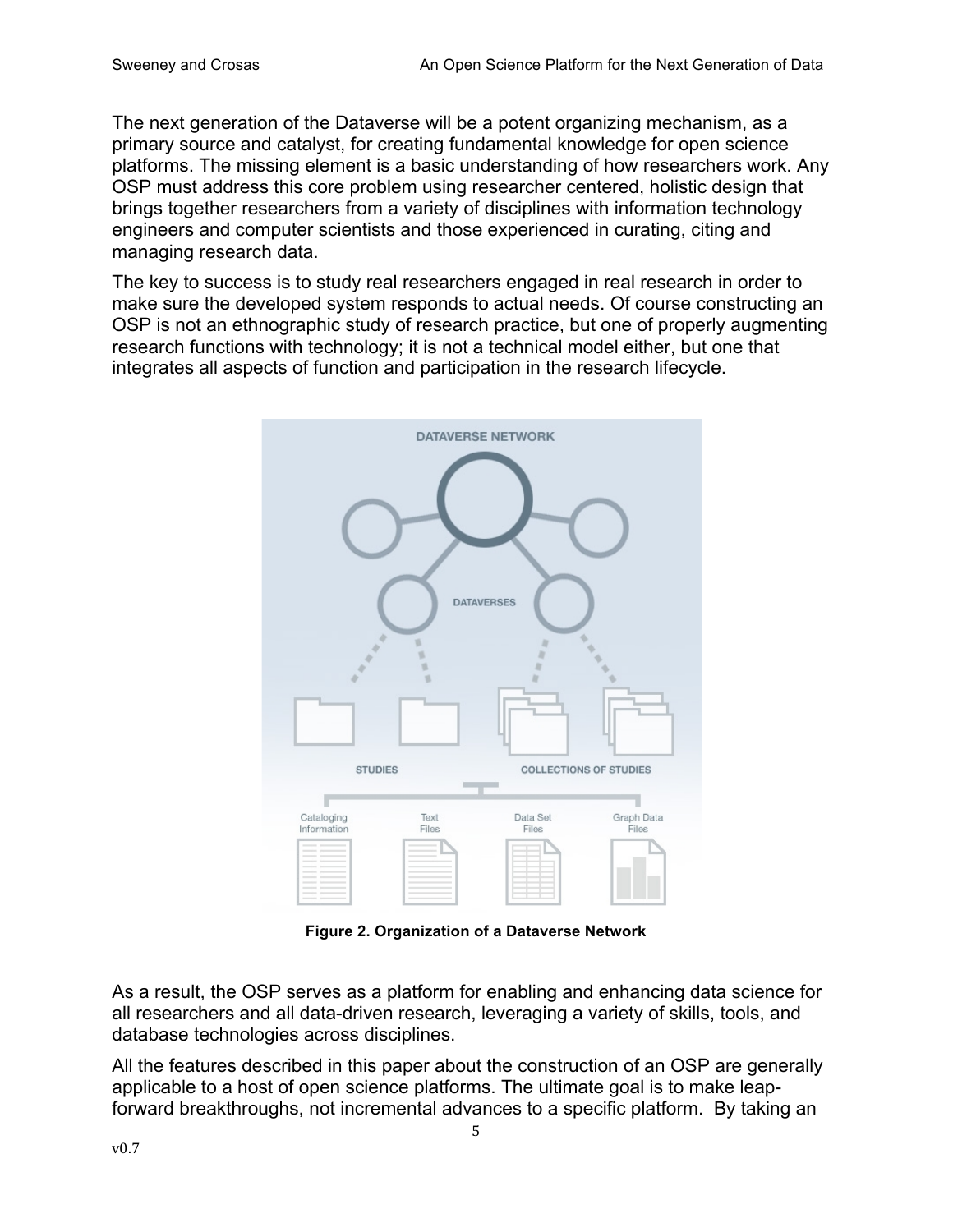The next generation of the Dataverse will be a potent organizing mechanism, as a primary source and catalyst, for creating fundamental knowledge for open science platforms. The missing element is a basic understanding of how researchers work. Any OSP must address this core problem using researcher centered, holistic design that brings together researchers from a variety of disciplines with information technology engineers and computer scientists and those experienced in curating, citing and managing research data.

The key to success is to study real researchers engaged in real research in order to make sure the developed system responds to actual needs. Of course constructing an OSP is not an ethnographic study of research practice, but one of properly augmenting research functions with technology; it is not a technical model either, but one that integrates all aspects of function and participation in the research lifecycle.



**Figure 2. Organization of a Dataverse Network**

As a result, the OSP serves as a platform for enabling and enhancing data science for all researchers and all data-driven research, leveraging a variety of skills, tools, and database technologies across disciplines.

All the features described in this paper about the construction of an OSP are generally applicable to a host of open science platforms. The ultimate goal is to make leapforward breakthroughs, not incremental advances to a specific platform. By taking an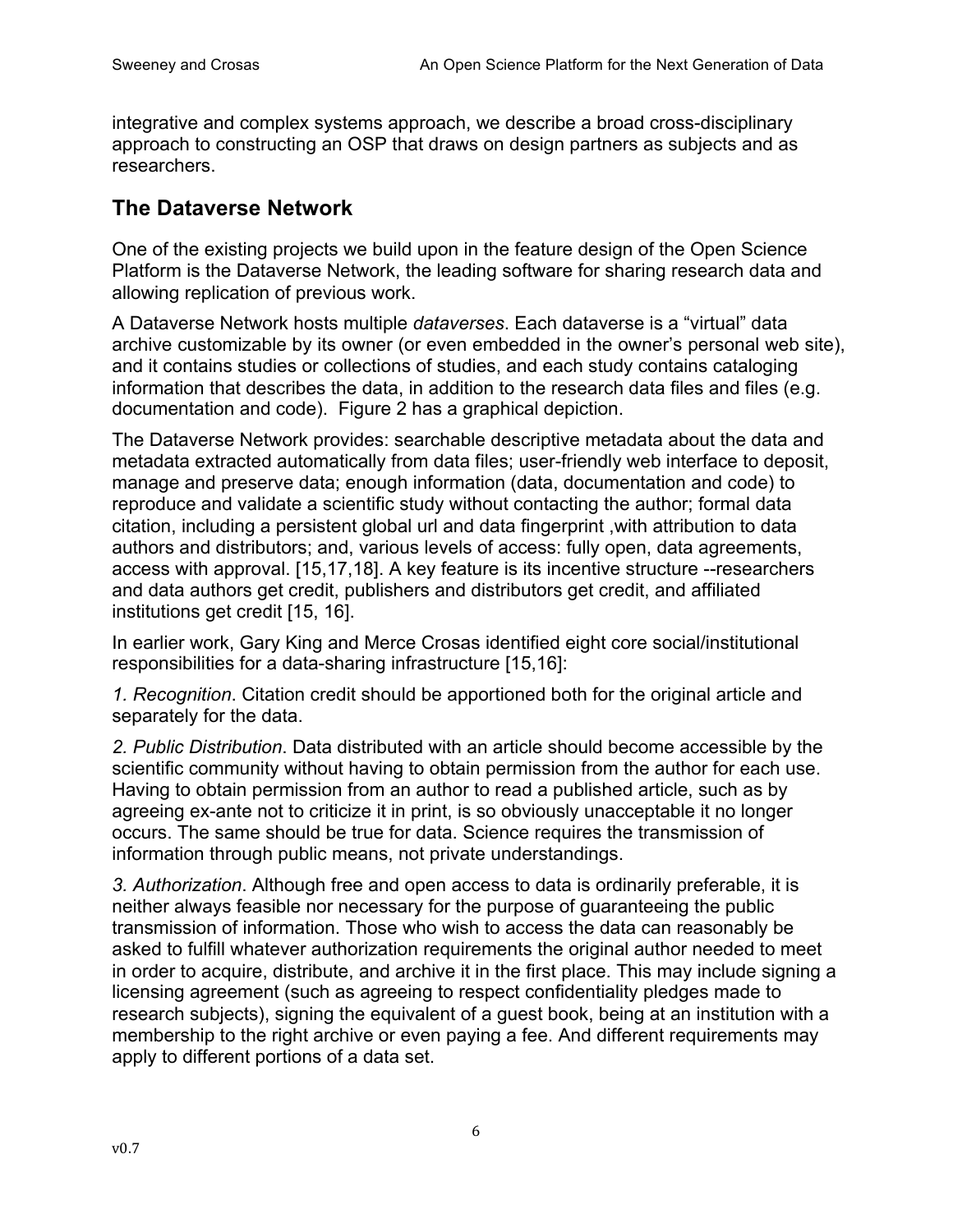integrative and complex systems approach, we describe a broad cross-disciplinary approach to constructing an OSP that draws on design partners as subjects and as researchers.

### **The Dataverse Network**

One of the existing projects we build upon in the feature design of the Open Science Platform is the Dataverse Network, the leading software for sharing research data and allowing replication of previous work.

A Dataverse Network hosts multiple *dataverses*. Each dataverse is a "virtual" data archive customizable by its owner (or even embedded in the owner's personal web site), and it contains studies or collections of studies, and each study contains cataloging information that describes the data, in addition to the research data files and files (e.g. documentation and code). Figure 2 has a graphical depiction.

The Dataverse Network provides: searchable descriptive metadata about the data and metadata extracted automatically from data files; user-friendly web interface to deposit, manage and preserve data; enough information (data, documentation and code) to reproduce and validate a scientific study without contacting the author; formal data citation, including a persistent global url and data fingerprint ,with attribution to data authors and distributors; and, various levels of access: fully open, data agreements, access with approval. [15,17,18]. A key feature is its incentive structure --researchers and data authors get credit, publishers and distributors get credit, and affiliated institutions get credit [15, 16].

In earlier work, Gary King and Merce Crosas identified eight core social/institutional responsibilities for a data-sharing infrastructure [15,16]:

*1. Recognition*. Citation credit should be apportioned both for the original article and separately for the data.

*2. Public Distribution*. Data distributed with an article should become accessible by the scientific community without having to obtain permission from the author for each use. Having to obtain permission from an author to read a published article, such as by agreeing ex-ante not to criticize it in print, is so obviously unacceptable it no longer occurs. The same should be true for data. Science requires the transmission of information through public means, not private understandings.

*3. Authorization*. Although free and open access to data is ordinarily preferable, it is neither always feasible nor necessary for the purpose of guaranteeing the public transmission of information. Those who wish to access the data can reasonably be asked to fulfill whatever authorization requirements the original author needed to meet in order to acquire, distribute, and archive it in the first place. This may include signing a licensing agreement (such as agreeing to respect confidentiality pledges made to research subjects), signing the equivalent of a guest book, being at an institution with a membership to the right archive or even paying a fee. And different requirements may apply to different portions of a data set.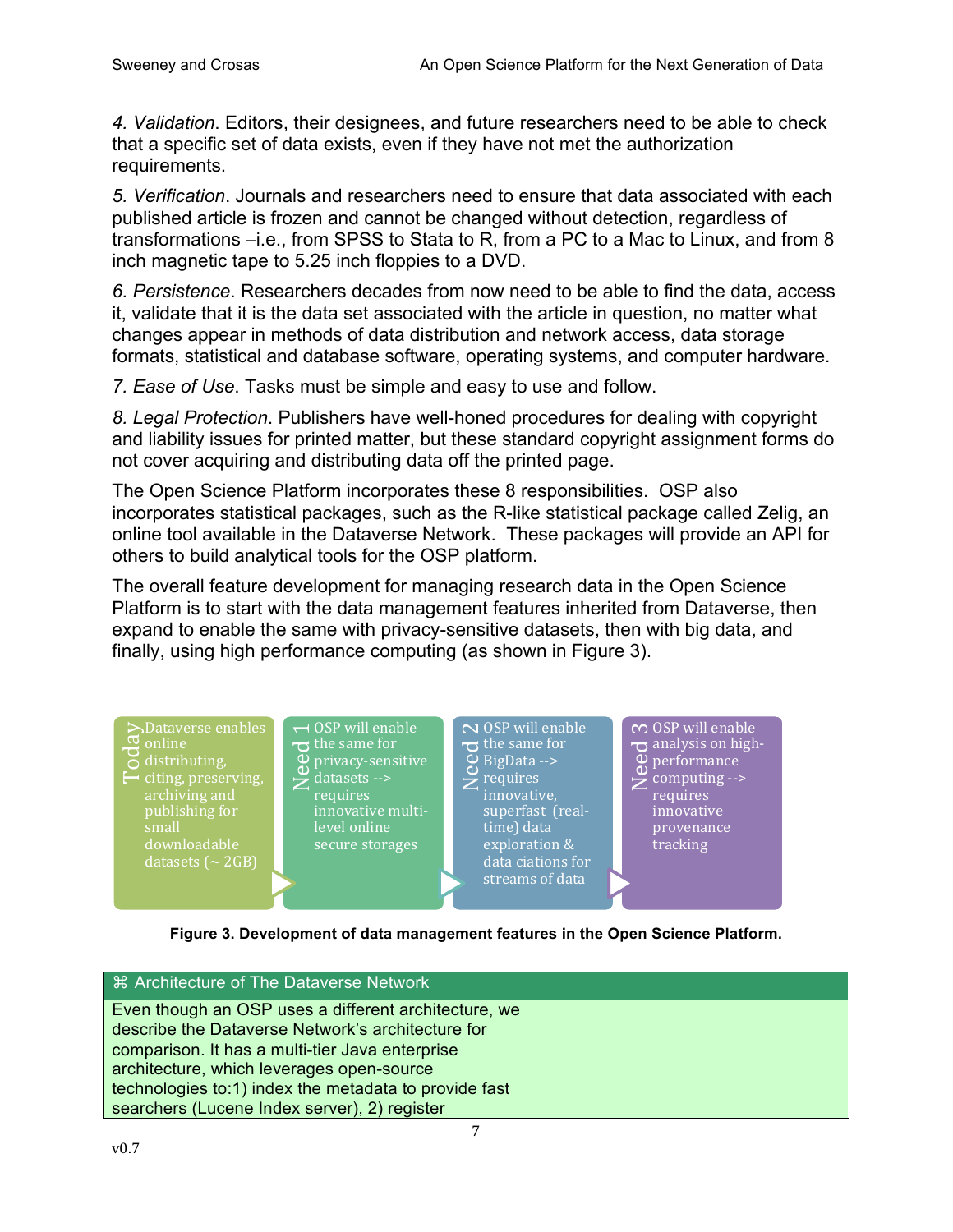*4. Validation*. Editors, their designees, and future researchers need to be able to check that a specific set of data exists, even if they have not met the authorization requirements.

*5. Verification*. Journals and researchers need to ensure that data associated with each published article is frozen and cannot be changed without detection, regardless of transformations –i.e., from SPSS to Stata to R, from a PC to a Mac to Linux, and from 8 inch magnetic tape to 5.25 inch floppies to a DVD.

*6. Persistence*. Researchers decades from now need to be able to find the data, access it, validate that it is the data set associated with the article in question, no matter what changes appear in methods of data distribution and network access, data storage formats, statistical and database software, operating systems, and computer hardware.

*7. Ease of Use*. Tasks must be simple and easy to use and follow.

*8. Legal Protection*. Publishers have well-honed procedures for dealing with copyright and liability issues for printed matter, but these standard copyright assignment forms do not cover acquiring and distributing data off the printed page.

The Open Science Platform incorporates these 8 responsibilities. OSP also incorporates statistical packages, such as the R-like statistical package called Zelig, an online tool available in the Dataverse Network. These packages will provide an API for others to build analytical tools for the OSP platform.

The overall feature development for managing research data in the Open Science Platform is to start with the data management features inherited from Dataverse, then expand to enable the same with privacy-sensitive datasets, then with big data, and finally, using high performance computing (as shown in Figure 3).



**Figure 3. Development of data management features in the Open Science Platform.**

| <b>EXA Architecture of The Dataverse Network</b>      |
|-------------------------------------------------------|
|                                                       |
| Even though an OSP uses a different architecture, we  |
| describe the Dataverse Network's architecture for     |
| comparison. It has a multi-tier Java enterprise       |
| architecture, which leverages open-source             |
| technologies to:1) index the metadata to provide fast |
| searchers (Lucene Index server), 2) register          |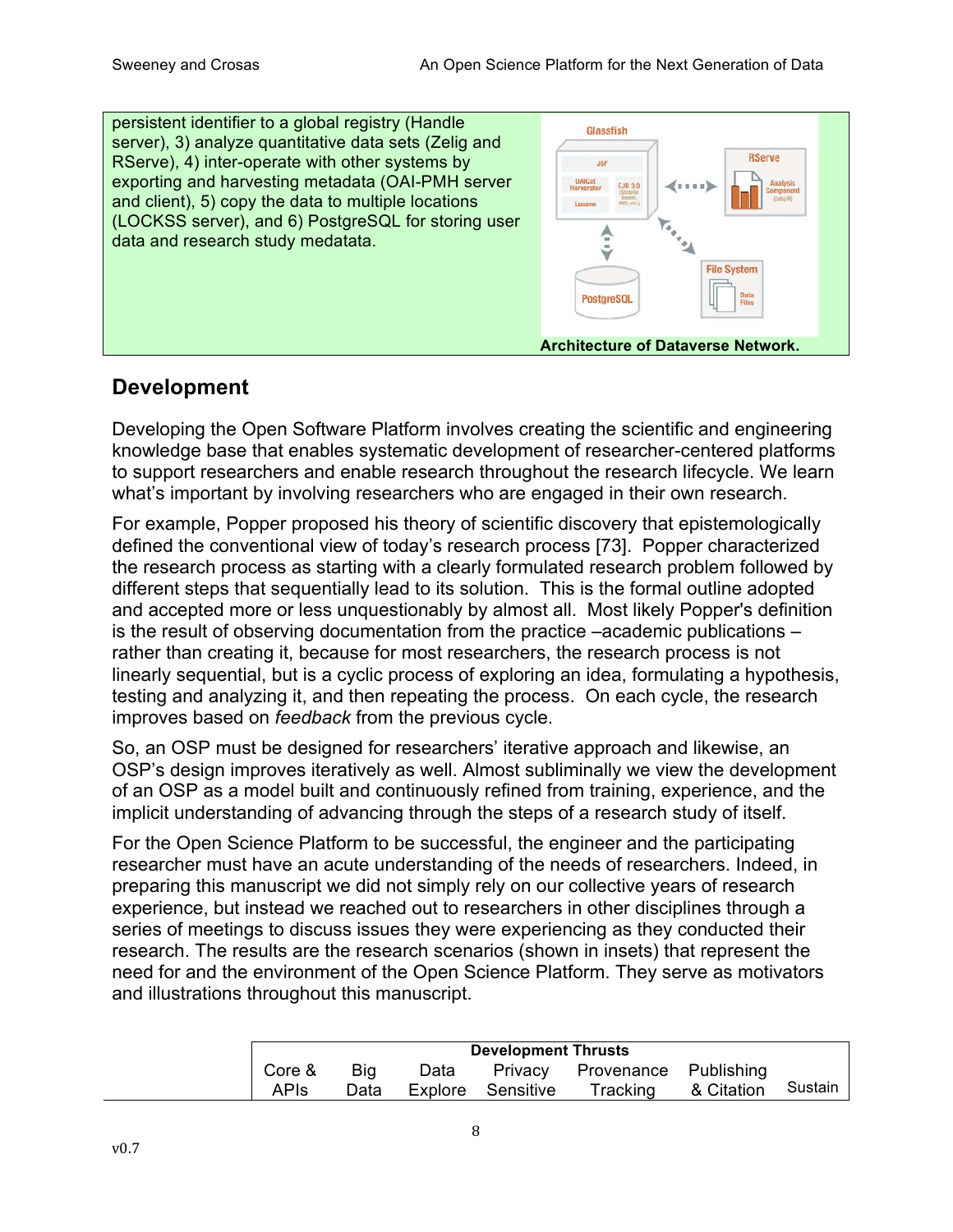

### **Development**

Developing the Open Software Platform involves creating the scientific and engineering knowledge base that enables systematic development of researcher-centered platforms to support researchers and enable research throughout the research lifecycle. We learn what's important by involving researchers who are engaged in their own research.

For example, Popper proposed his theory of scientific discovery that epistemologically defined the conventional view of today's research process [73]. Popper characterized the research process as starting with a clearly formulated research problem followed by different steps that sequentially lead to its solution. This is the formal outline adopted and accepted more or less unquestionably by almost all. Most likely Popper's definition is the result of observing documentation from the practice –academic publications – rather than creating it, because for most researchers, the research process is not linearly sequential, but is a cyclic process of exploring an idea, formulating a hypothesis, testing and analyzing it, and then repeating the process. On each cycle, the research improves based on *feedback* from the previous cycle.

So, an OSP must be designed for researchers' iterative approach and likewise, an OSP's design improves iteratively as well. Almost subliminally we view the development of an OSP as a model built and continuously refined from training, experience, and the implicit understanding of advancing through the steps of a research study of itself.

For the Open Science Platform to be successful, the engineer and the participating researcher must have an acute understanding of the needs of researchers. Indeed, in preparing this manuscript we did not simply rely on our collective years of research experience, but instead we reached out to researchers in other disciplines through a series of meetings to discuss issues they were experiencing as they conducted their research. The results are the research scenarios (shown in insets) that represent the need for and the environment of the Open Science Platform. They serve as motivators and illustrations throughout this manuscript.

|        |            | <b>Development Thrusts</b> |                   |                       |            |         |
|--------|------------|----------------------------|-------------------|-----------------------|------------|---------|
| Core & | <b>Big</b> | Data                       | Privacy           | Provenance Publishing |            |         |
| APIs   | Data       |                            | Explore Sensitive | Tracking              | & Citation | Sustain |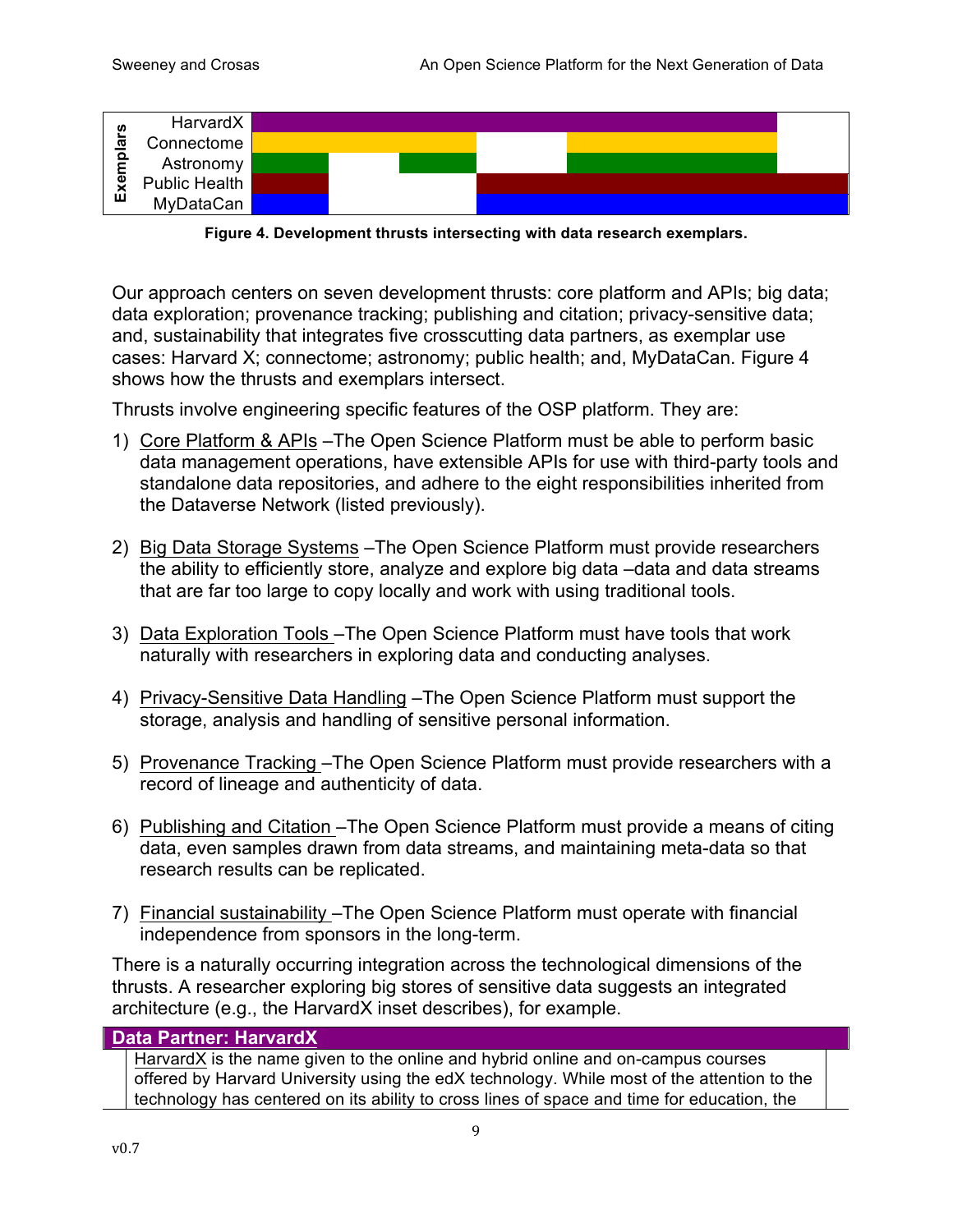

**Figure 4. Development thrusts intersecting with data research exemplars.**

Our approach centers on seven development thrusts: core platform and APIs; big data; data exploration; provenance tracking; publishing and citation; privacy-sensitive data; and, sustainability that integrates five crosscutting data partners, as exemplar use cases: Harvard X; connectome; astronomy; public health; and, MyDataCan. Figure 4 shows how the thrusts and exemplars intersect.

Thrusts involve engineering specific features of the OSP platform. They are:

- 1) Core Platform & APIs –The Open Science Platform must be able to perform basic data management operations, have extensible APIs for use with third-party tools and standalone data repositories, and adhere to the eight responsibilities inherited from the Dataverse Network (listed previously).
- 2) Big Data Storage Systems –The Open Science Platform must provide researchers the ability to efficiently store, analyze and explore big data –data and data streams that are far too large to copy locally and work with using traditional tools.
- 3) Data Exploration Tools –The Open Science Platform must have tools that work naturally with researchers in exploring data and conducting analyses.
- 4) Privacy-Sensitive Data Handling The Open Science Platform must support the storage, analysis and handling of sensitive personal information.
- 5) Provenance Tracking –The Open Science Platform must provide researchers with a record of lineage and authenticity of data.
- 6) Publishing and Citation –The Open Science Platform must provide a means of citing data, even samples drawn from data streams, and maintaining meta-data so that research results can be replicated.
- 7) Financial sustainability –The Open Science Platform must operate with financial independence from sponsors in the long-term.

There is a naturally occurring integration across the technological dimensions of the thrusts. A researcher exploring big stores of sensitive data suggests an integrated architecture (e.g., the HarvardX inset describes), for example.

### **Data Partner: HarvardX**

HarvardX is the name given to the online and hybrid online and on-campus courses offered by Harvard University using the edX technology. While most of the attention to the technology has centered on its ability to cross lines of space and time for education, the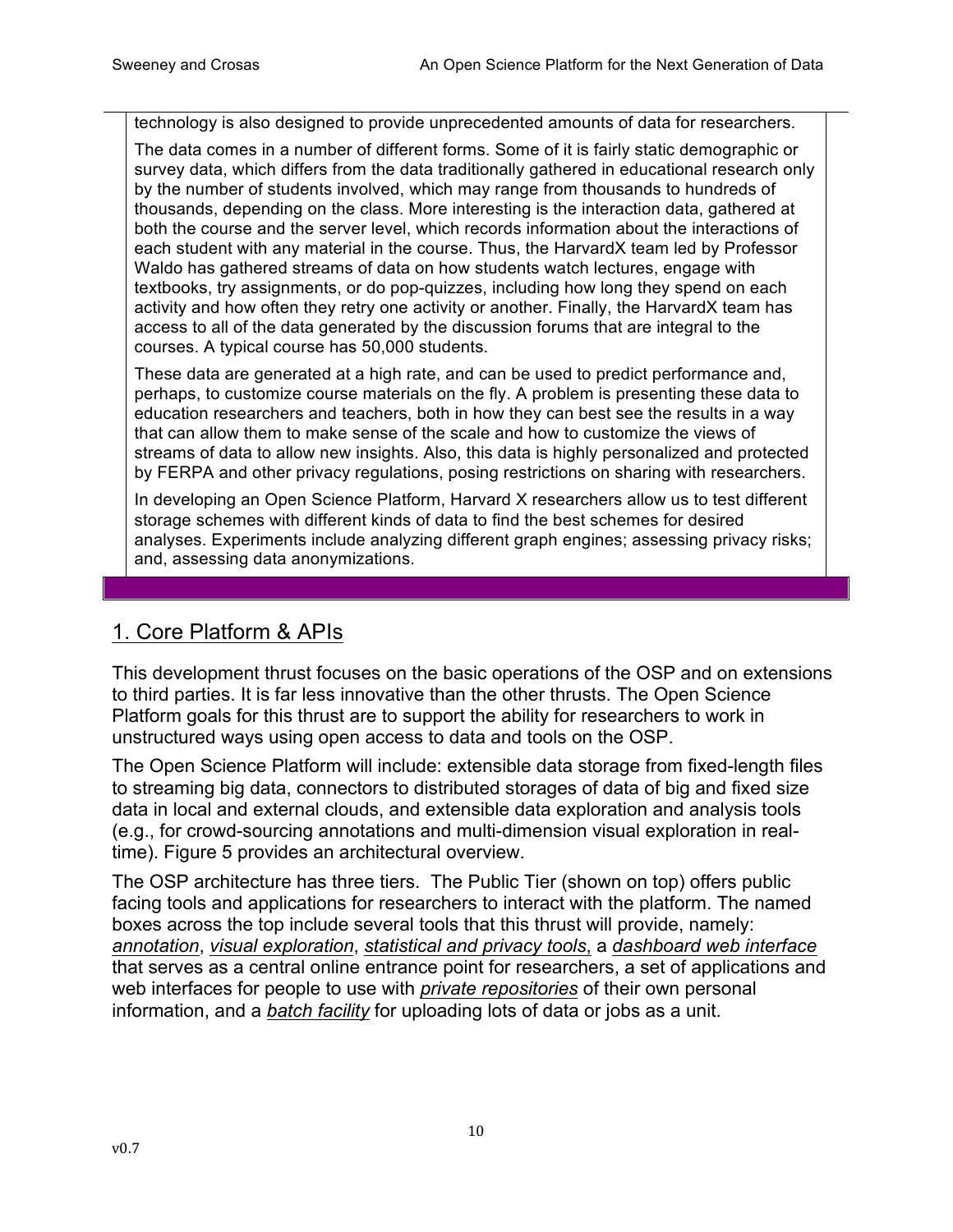technology is also designed to provide unprecedented amounts of data for researchers.

The data comes in a number of different forms. Some of it is fairly static demographic or survey data, which differs from the data traditionally gathered in educational research only by the number of students involved, which may range from thousands to hundreds of thousands, depending on the class. More interesting is the interaction data, gathered at both the course and the server level, which records information about the interactions of each student with any material in the course. Thus, the HarvardX team led by Professor Waldo has gathered streams of data on how students watch lectures, engage with textbooks, try assignments, or do pop-quizzes, including how long they spend on each activity and how often they retry one activity or another. Finally, the HarvardX team has access to all of the data generated by the discussion forums that are integral to the courses. A typical course has 50,000 students.

These data are generated at a high rate, and can be used to predict performance and, perhaps, to customize course materials on the fly. A problem is presenting these data to education researchers and teachers, both in how they can best see the results in a way that can allow them to make sense of the scale and how to customize the views of streams of data to allow new insights. Also, this data is highly personalized and protected by FERPA and other privacy regulations, posing restrictions on sharing with researchers.

In developing an Open Science Platform, Harvard X researchers allow us to test different storage schemes with different kinds of data to find the best schemes for desired analyses. Experiments include analyzing different graph engines; assessing privacy risks; and, assessing data anonymizations.

### 1. Core Platform & APIs

This development thrust focuses on the basic operations of the OSP and on extensions to third parties. It is far less innovative than the other thrusts. The Open Science Platform goals for this thrust are to support the ability for researchers to work in unstructured ways using open access to data and tools on the OSP.

The Open Science Platform will include: extensible data storage from fixed-length files to streaming big data, connectors to distributed storages of data of big and fixed size data in local and external clouds, and extensible data exploration and analysis tools (e.g., for crowd-sourcing annotations and multi-dimension visual exploration in realtime). Figure 5 provides an architectural overview.

The OSP architecture has three tiers. The Public Tier (shown on top) offers public facing tools and applications for researchers to interact with the platform. The named boxes across the top include several tools that this thrust will provide, namely: *annotation*, *visual exploration*, *statistical and privacy tools*, a *dashboard web interface* that serves as a central online entrance point for researchers, a set of applications and web interfaces for people to use with *private repositories* of their own personal information, and a *batch facility* for uploading lots of data or jobs as a unit.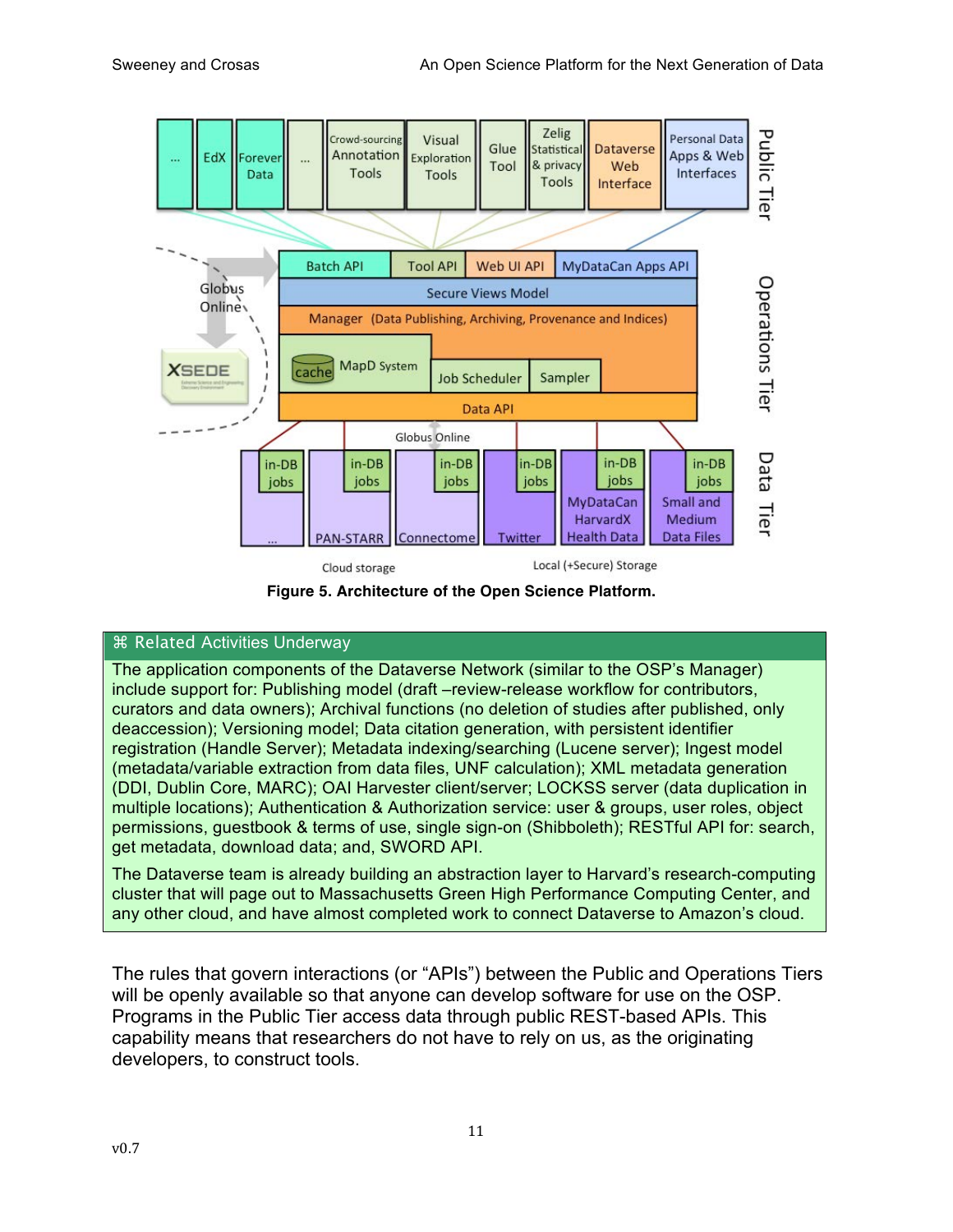

**Figure 5. Architecture of the Open Science Platform.**

### ⌘ Related Activities Underway

The application components of the Dataverse Network (similar to the OSP's Manager) include support for: Publishing model (draft –review-release workflow for contributors, curators and data owners); Archival functions (no deletion of studies after published, only deaccession); Versioning model; Data citation generation, with persistent identifier registration (Handle Server); Metadata indexing/searching (Lucene server); Ingest model (metadata/variable extraction from data files, UNF calculation); XML metadata generation (DDI, Dublin Core, MARC); OAI Harvester client/server; LOCKSS server (data duplication in multiple locations); Authentication & Authorization service: user & groups, user roles, object permissions, guestbook & terms of use, single sign-on (Shibboleth); RESTful API for: search, get metadata, download data; and, SWORD API.

The Dataverse team is already building an abstraction layer to Harvard's research-computing cluster that will page out to Massachusetts Green High Performance Computing Center, and any other cloud, and have almost completed work to connect Dataverse to Amazon's cloud.

The rules that govern interactions (or "APIs") between the Public and Operations Tiers will be openly available so that anyone can develop software for use on the OSP. Programs in the Public Tier access data through public REST-based APIs. This capability means that researchers do not have to rely on us, as the originating developers, to construct tools.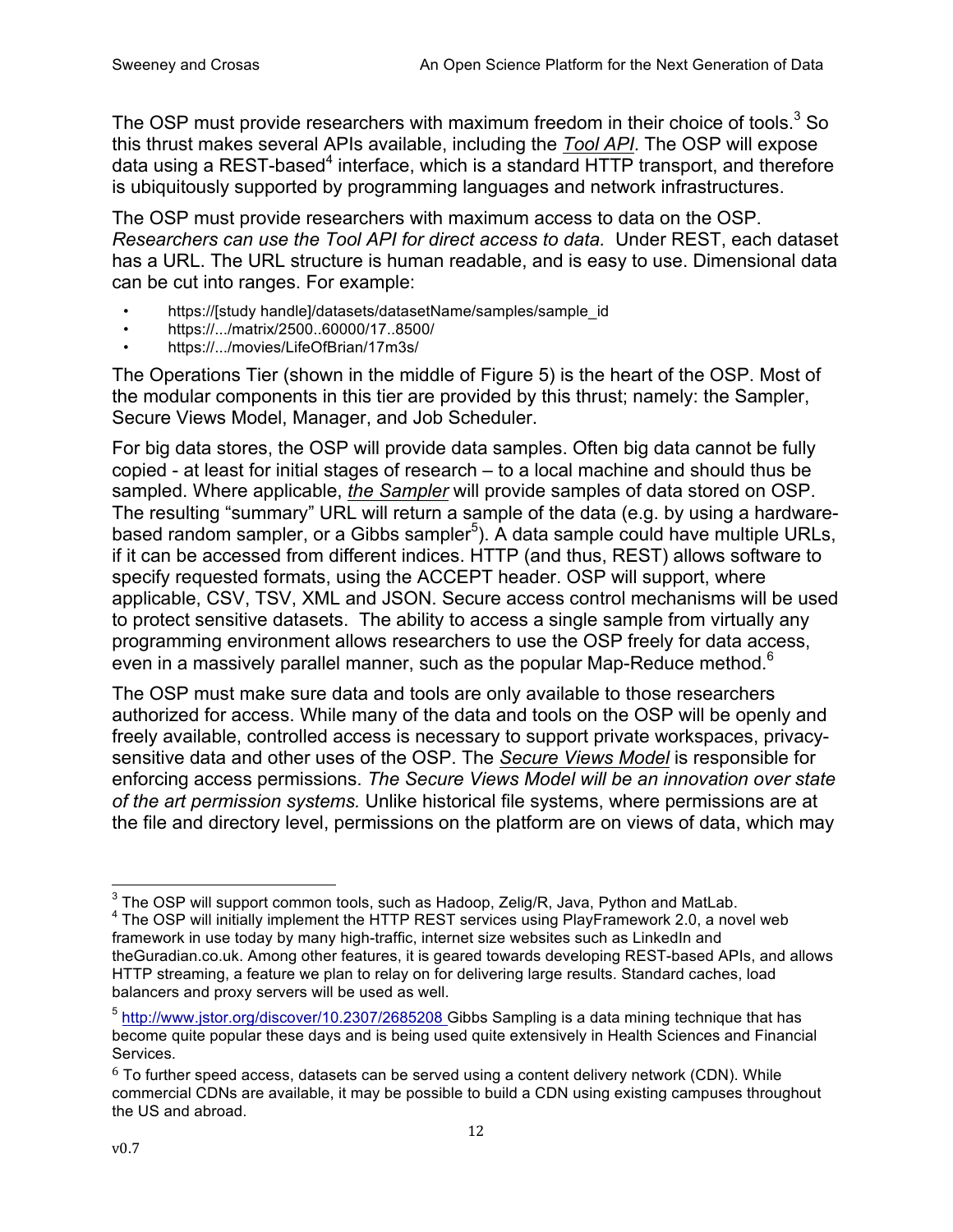The OSP must provide researchers with maximum freedom in their choice of tools.<sup>3</sup> So this thrust makes several APIs available, including the *Tool API*. The OSP will expose data using a REST-based $4$  interface, which is a standard HTTP transport, and therefore is ubiquitously supported by programming languages and network infrastructures.

The OSP must provide researchers with maximum access to data on the OSP. *Researchers can use the Tool API for direct access to data.* Under REST, each dataset has a URL. The URL structure is human readable, and is easy to use. Dimensional data can be cut into ranges. For example:

- https://[study handle]/datasets/datasetName/samples/sample\_id
- https://.../matrix/2500..60000/17..8500/
- https://.../movies/LifeOfBrian/17m3s/

The Operations Tier (shown in the middle of Figure 5) is the heart of the OSP. Most of the modular components in this tier are provided by this thrust; namely: the Sampler, Secure Views Model, Manager, and Job Scheduler.

For big data stores, the OSP will provide data samples. Often big data cannot be fully copied - at least for initial stages of research – to a local machine and should thus be sampled. Where applicable, *the Sampler* will provide samples of data stored on OSP. The resulting "summary" URL will return a sample of the data (e.g. by using a hardwarebased random sampler, or a Gibbs sampler<sup>5</sup>). A data sample could have multiple URLs, if it can be accessed from different indices. HTTP (and thus, REST) allows software to specify requested formats, using the ACCEPT header. OSP will support, where applicable, CSV, TSV, XML and JSON. Secure access control mechanisms will be used to protect sensitive datasets. The ability to access a single sample from virtually any programming environment allows researchers to use the OSP freely for data access, even in a massively parallel manner, such as the popular Map-Reduce method.<sup>6</sup>

The OSP must make sure data and tools are only available to those researchers authorized for access. While many of the data and tools on the OSP will be openly and freely available, controlled access is necessary to support private workspaces, privacysensitive data and other uses of the OSP. The *Secure Views Model* is responsible for enforcing access permissions. *The Secure Views Model will be an innovation over state of the art permission systems.* Unlike historical file systems, where permissions are at the file and directory level, permissions on the platform are on views of data, which may

<sup>&</sup>lt;sup>3</sup> The OSP will support common tools, such as Hadoop, Zelig/R, Java, Python and MatLab.<br><sup>4</sup> The OSP will initially implement the HTTP REST services using PlayFramework 2.0, a novel web framework in use today by many high-traffic, internet size websites such as LinkedIn and theGuradian.co.uk. Among other features, it is geared towards developing REST-based APIs, and allows HTTP streaming, a feature we plan to relay on for delivering large results. Standard caches, load balancers and proxy servers will be used as well.

<sup>&</sup>lt;sup>5</sup> http://www.jstor.org/discover/10.2307/2685208 Gibbs Sampling is a data mining technique that has become quite popular these days and is being used quite extensively in Health Sciences and Financial Services.

 $6$  To further speed access, datasets can be served using a content delivery network (CDN). While commercial CDNs are available, it may be possible to build a CDN using existing campuses throughout the US and abroad.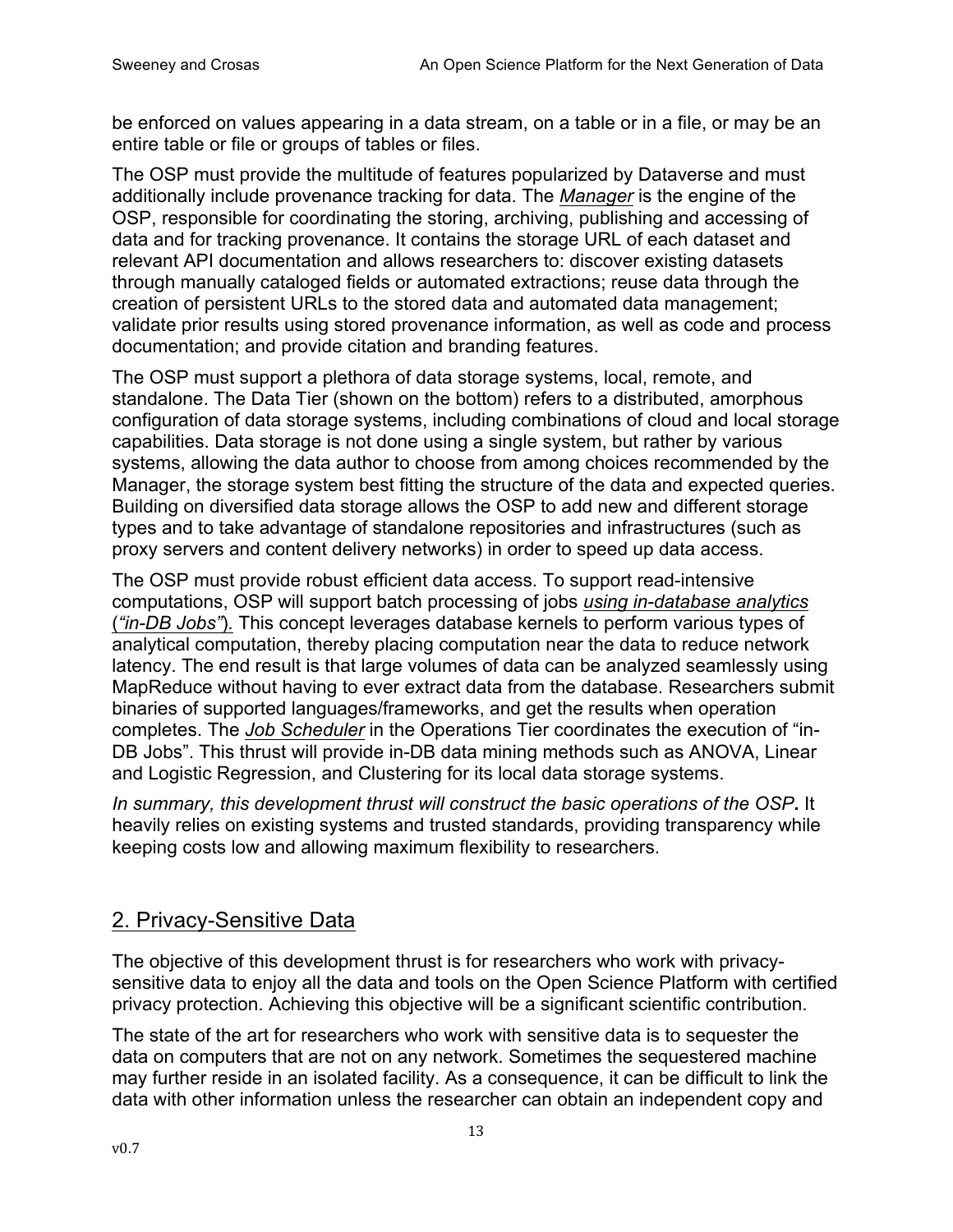be enforced on values appearing in a data stream, on a table or in a file, or may be an entire table or file or groups of tables or files.

The OSP must provide the multitude of features popularized by Dataverse and must additionally include provenance tracking for data. The *Manager* is the engine of the OSP, responsible for coordinating the storing, archiving, publishing and accessing of data and for tracking provenance. It contains the storage URL of each dataset and relevant API documentation and allows researchers to: discover existing datasets through manually cataloged fields or automated extractions; reuse data through the creation of persistent URLs to the stored data and automated data management; validate prior results using stored provenance information, as well as code and process documentation; and provide citation and branding features.

The OSP must support a plethora of data storage systems, local, remote, and standalone. The Data Tier (shown on the bottom) refers to a distributed, amorphous configuration of data storage systems, including combinations of cloud and local storage capabilities. Data storage is not done using a single system, but rather by various systems, allowing the data author to choose from among choices recommended by the Manager, the storage system best fitting the structure of the data and expected queries. Building on diversified data storage allows the OSP to add new and different storage types and to take advantage of standalone repositories and infrastructures (such as proxy servers and content delivery networks) in order to speed up data access.

The OSP must provide robust efficient data access. To support read-intensive computations, OSP will support batch processing of jobs *using in-database analytics* (*"in-DB Jobs"*)*.* This concept leverages database kernels to perform various types of analytical computation, thereby placing computation near the data to reduce network latency. The end result is that large volumes of data can be analyzed seamlessly using MapReduce without having to ever extract data from the database. Researchers submit binaries of supported languages/frameworks, and get the results when operation completes. The *Job Scheduler* in the Operations Tier coordinates the execution of "in-DB Jobs". This thrust will provide in-DB data mining methods such as ANOVA, Linear and Logistic Regression, and Clustering for its local data storage systems.

*In summary, this development thrust will construct the basic operations of the OSP***.** It heavily relies on existing systems and trusted standards, providing transparency while keeping costs low and allowing maximum flexibility to researchers.

### 2. Privacy-Sensitive Data

The objective of this development thrust is for researchers who work with privacysensitive data to enjoy all the data and tools on the Open Science Platform with certified privacy protection. Achieving this objective will be a significant scientific contribution.

The state of the art for researchers who work with sensitive data is to sequester the data on computers that are not on any network. Sometimes the sequestered machine may further reside in an isolated facility. As a consequence, it can be difficult to link the data with other information unless the researcher can obtain an independent copy and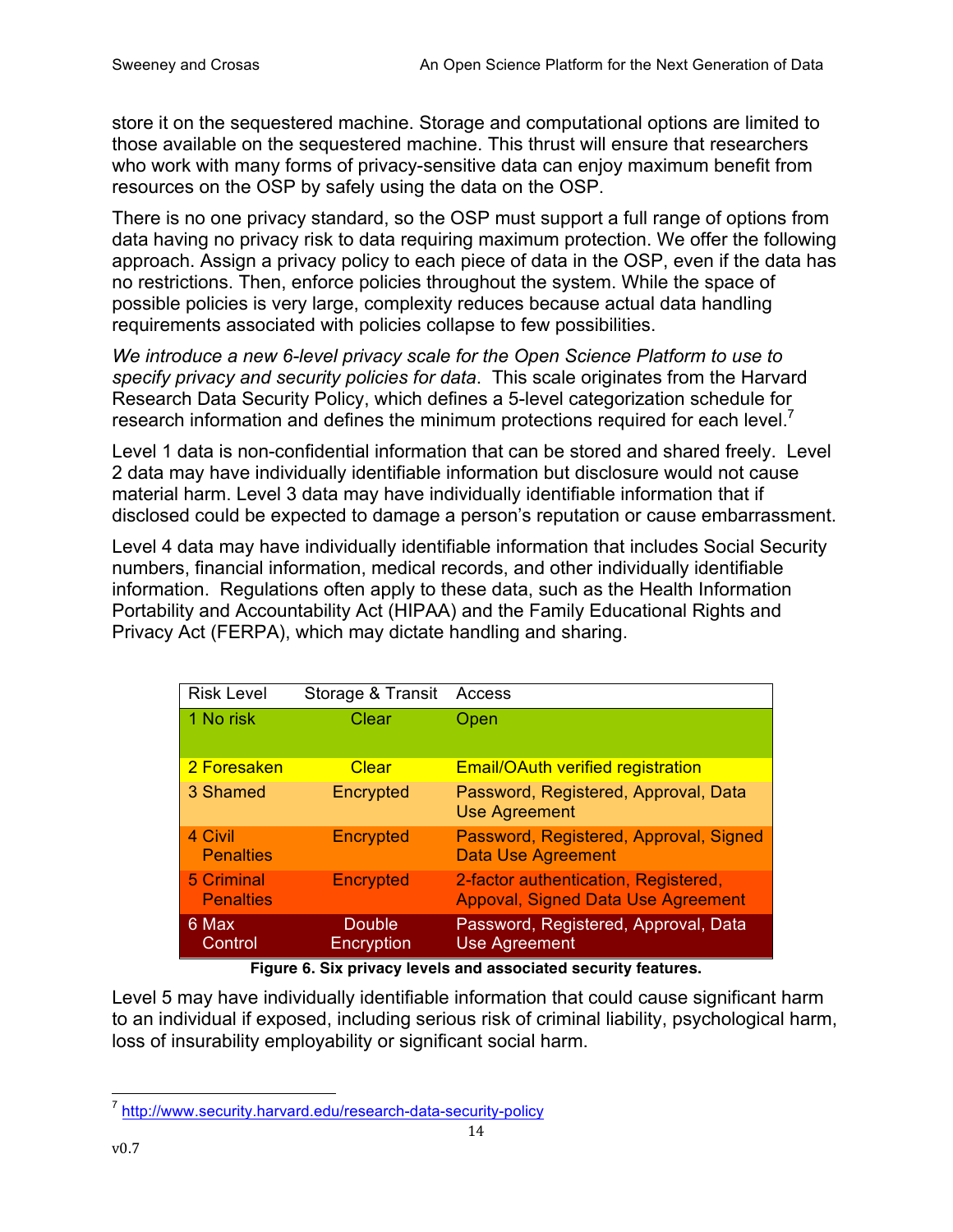store it on the sequestered machine. Storage and computational options are limited to those available on the sequestered machine. This thrust will ensure that researchers who work with many forms of privacy-sensitive data can enjoy maximum benefit from resources on the OSP by safely using the data on the OSP.

There is no one privacy standard, so the OSP must support a full range of options from data having no privacy risk to data requiring maximum protection. We offer the following approach. Assign a privacy policy to each piece of data in the OSP, even if the data has no restrictions. Then, enforce policies throughout the system. While the space of possible policies is very large, complexity reduces because actual data handling requirements associated with policies collapse to few possibilities.

*We introduce a new 6-level privacy scale for the Open Science Platform to use to specify privacy and security policies for data*. This scale originates from the Harvard Research Data Security Policy, which defines a 5-level categorization schedule for research information and defines the minimum protections required for each level.<sup>7</sup>

Level 1 data is non-confidential information that can be stored and shared freely. Level 2 data may have individually identifiable information but disclosure would not cause material harm. Level 3 data may have individually identifiable information that if disclosed could be expected to damage a person's reputation or cause embarrassment.

Level 4 data may have individually identifiable information that includes Social Security numbers, financial information, medical records, and other individually identifiable information. Regulations often apply to these data, such as the Health Information Portability and Accountability Act (HIPAA) and the Family Educational Rights and Privacy Act (FERPA), which may dictate handling and sharing.

| <b>Risk Level</b>              | Storage & Transit           | Access                                                                            |
|--------------------------------|-----------------------------|-----------------------------------------------------------------------------------|
| 1 No risk                      | Clear                       | Open                                                                              |
| 2 Foresaken                    | Clear                       | <b>Email/OAuth verified registration</b>                                          |
| 3 Shamed                       | Encrypted                   | Password, Registered, Approval, Data<br><b>Use Agreement</b>                      |
| 4 Civil<br><b>Penalties</b>    | Encrypted                   | Password, Registered, Approval, Signed<br><b>Data Use Agreement</b>               |
| 5 Criminal<br><b>Penalties</b> | Encrypted                   | 2-factor authentication, Registered,<br><b>Appoval, Signed Data Use Agreement</b> |
| 6 Max<br>Control               | <b>Double</b><br>Encryption | Password, Registered, Approval, Data<br><b>Use Agreement</b>                      |

**Figure 6. Six privacy levels and associated security features.**

Level 5 may have individually identifiable information that could cause significant harm to an individual if exposed, including serious risk of criminal liability, psychological harm, loss of insurability employability or significant social harm.

 <sup>7</sup> http://www.security.harvard.edu/research-data-security-policy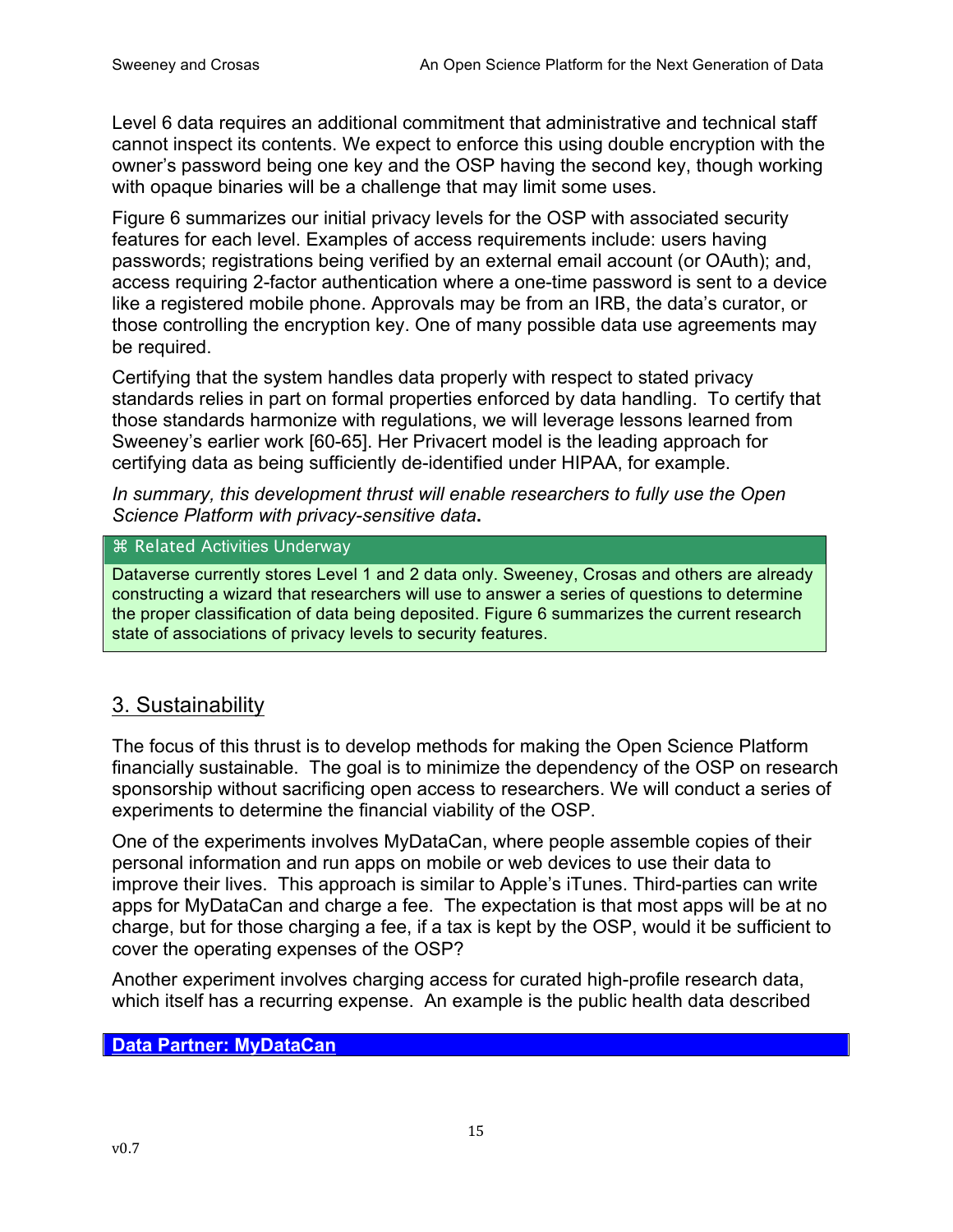Level 6 data requires an additional commitment that administrative and technical staff cannot inspect its contents. We expect to enforce this using double encryption with the owner's password being one key and the OSP having the second key, though working with opaque binaries will be a challenge that may limit some uses.

Figure 6 summarizes our initial privacy levels for the OSP with associated security features for each level. Examples of access requirements include: users having passwords; registrations being verified by an external email account (or OAuth); and, access requiring 2-factor authentication where a one-time password is sent to a device like a registered mobile phone. Approvals may be from an IRB, the data's curator, or those controlling the encryption key. One of many possible data use agreements may be required.

Certifying that the system handles data properly with respect to stated privacy standards relies in part on formal properties enforced by data handling. To certify that those standards harmonize with regulations, we will leverage lessons learned from Sweeney's earlier work [60-65]. Her Privacert model is the leading approach for certifying data as being sufficiently de-identified under HIPAA, for example.

*In summary, this development thrust will enable researchers to fully use the Open Science Platform with privacy-sensitive data***.**

### ⌘ Related Activities Underway

Dataverse currently stores Level 1 and 2 data only. Sweeney, Crosas and others are already constructing a wizard that researchers will use to answer a series of questions to determine the proper classification of data being deposited. Figure 6 summarizes the current research state of associations of privacy levels to security features.

### 3. Sustainability

The focus of this thrust is to develop methods for making the Open Science Platform financially sustainable. The goal is to minimize the dependency of the OSP on research sponsorship without sacrificing open access to researchers. We will conduct a series of experiments to determine the financial viability of the OSP.

One of the experiments involves MyDataCan, where people assemble copies of their personal information and run apps on mobile or web devices to use their data to improve their lives. This approach is similar to Apple's iTunes. Third-parties can write apps for MyDataCan and charge a fee. The expectation is that most apps will be at no charge, but for those charging a fee, if a tax is kept by the OSP, would it be sufficient to cover the operating expenses of the OSP?

Another experiment involves charging access for curated high-profile research data, which itself has a recurring expense. An example is the public health data described

### **Data Partner: MyDataCan**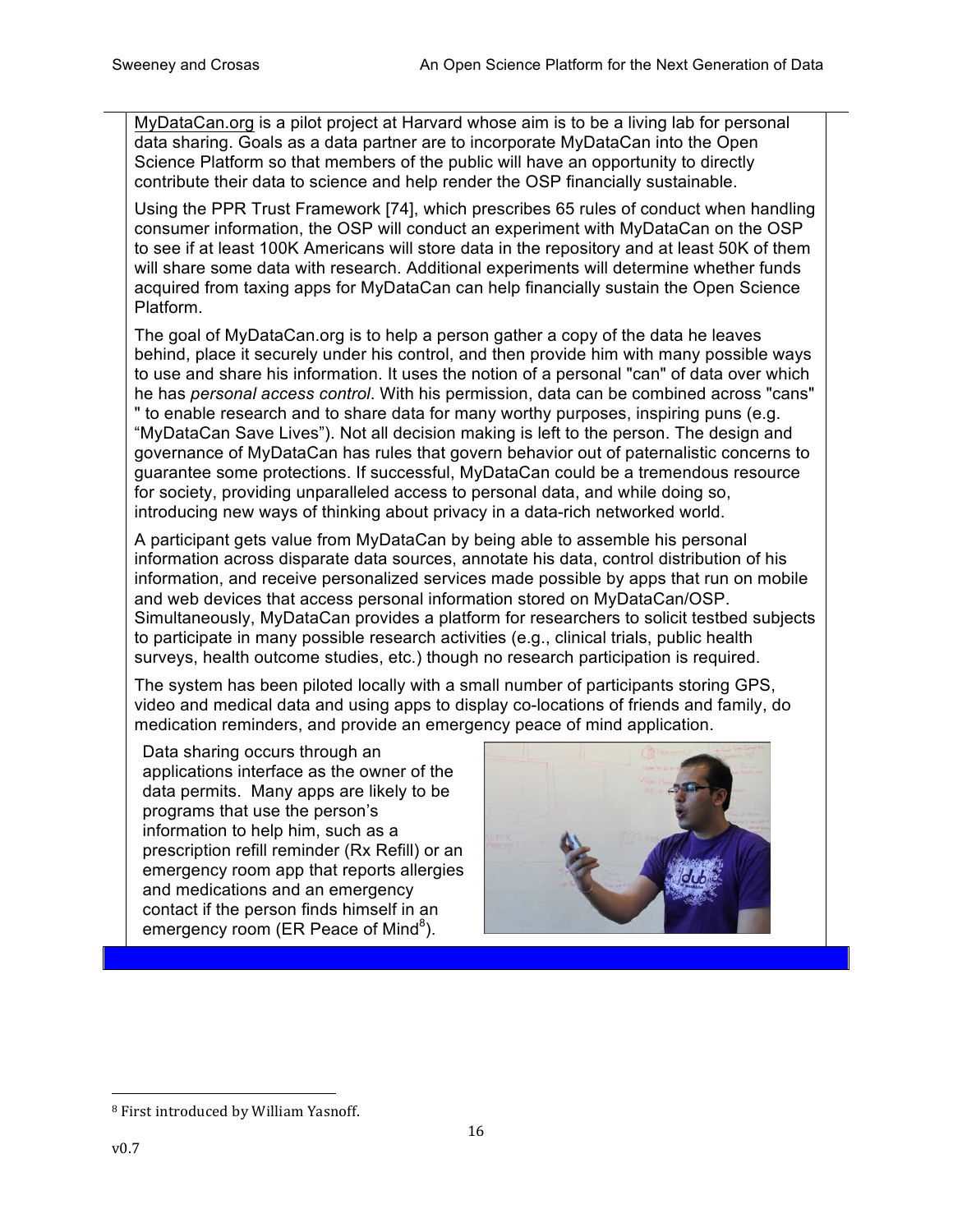MyDataCan.org is a pilot project at Harvard whose aim is to be a living lab for personal data sharing. Goals as a data partner are to incorporate MyDataCan into the Open Science Platform so that members of the public will have an opportunity to directly contribute their data to science and help render the OSP financially sustainable.

Using the PPR Trust Framework [74], which prescribes 65 rules of conduct when handling consumer information, the OSP will conduct an experiment with MyDataCan on the OSP to see if at least 100K Americans will store data in the repository and at least 50K of them will share some data with research. Additional experiments will determine whether funds acquired from taxing apps for MyDataCan can help financially sustain the Open Science Platform.

The goal of MyDataCan.org is to help a person gather a copy of the data he leaves behind, place it securely under his control, and then provide him with many possible ways to use and share his information. It uses the notion of a personal "can" of data over which he has *personal access control*. With his permission, data can be combined across "cans" " to enable research and to share data for many worthy purposes, inspiring puns (e.g. "MyDataCan Save Lives"). Not all decision making is left to the person. The design and governance of MyDataCan has rules that govern behavior out of paternalistic concerns to guarantee some protections. If successful, MyDataCan could be a tremendous resource for society, providing unparalleled access to personal data, and while doing so, introducing new ways of thinking about privacy in a data-rich networked world.

A participant gets value from MyDataCan by being able to assemble his personal information across disparate data sources, annotate his data, control distribution of his information, and receive personalized services made possible by apps that run on mobile and web devices that access personal information stored on MyDataCan/OSP. Simultaneously, MyDataCan provides a platform for researchers to solicit testbed subjects to participate in many possible research activities (e.g., clinical trials, public health surveys, health outcome studies, etc.) though no research participation is required.

The system has been piloted locally with a small number of participants storing GPS, video and medical data and using apps to display co-locations of friends and family, do medication reminders, and provide an emergency peace of mind application.

Data sharing occurs through an applications interface as the owner of the data permits. Many apps are likely to be programs that use the person's information to help him, such as a prescription refill reminder (Rx Refill) or an emergency room app that reports allergies and medications and an emergency contact if the person finds himself in an emergency room (ER Peace of Mind $^8$ ).



 <sup>8</sup> First introduced by William Yasnoff.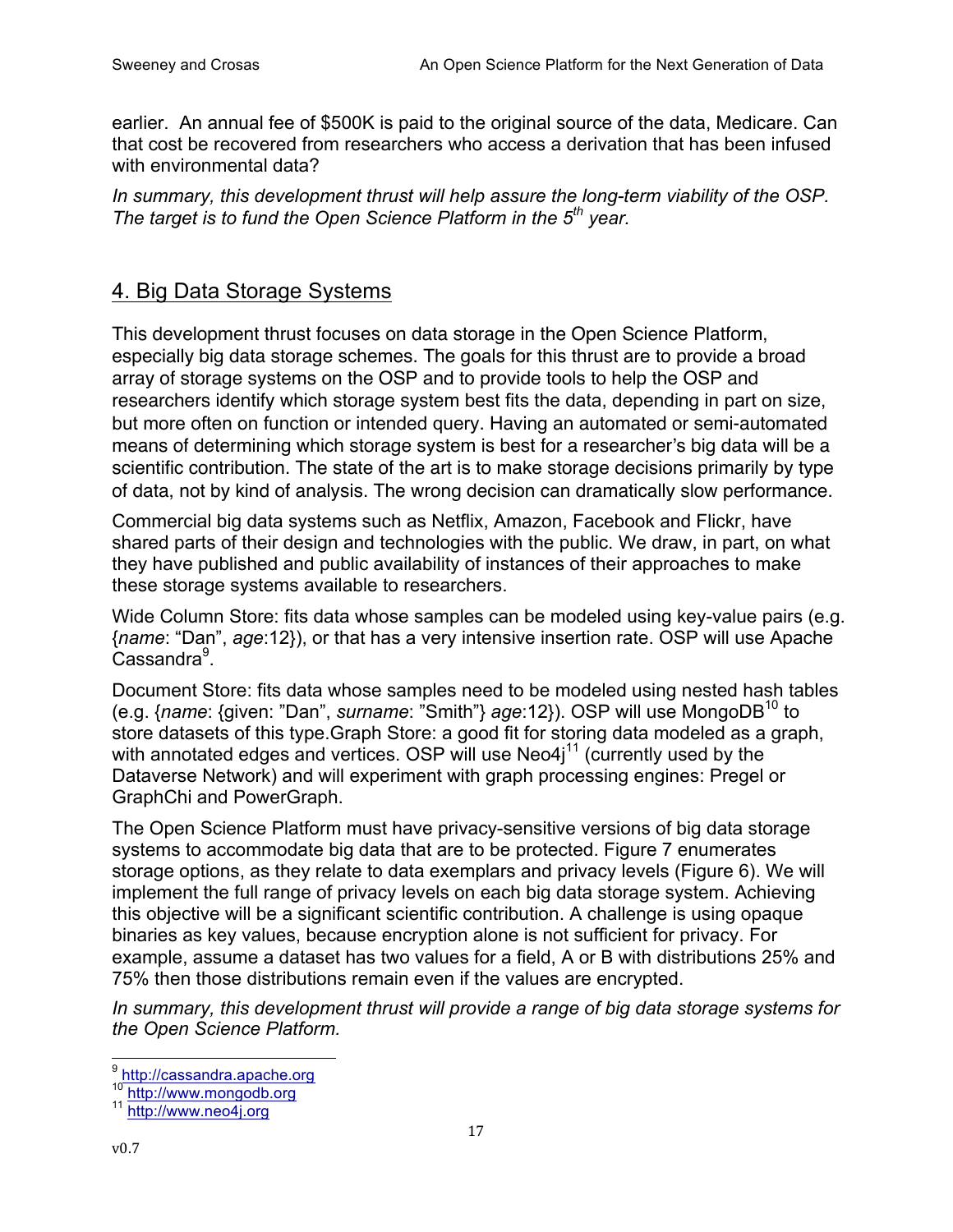earlier. An annual fee of \$500K is paid to the original source of the data, Medicare. Can that cost be recovered from researchers who access a derivation that has been infused with environmental data?

*In summary, this development thrust will help assure the long-term viability of the OSP. The target is to fund the Open Science Platform in the 5th year.* 

## 4. Big Data Storage Systems

This development thrust focuses on data storage in the Open Science Platform, especially big data storage schemes. The goals for this thrust are to provide a broad array of storage systems on the OSP and to provide tools to help the OSP and researchers identify which storage system best fits the data, depending in part on size, but more often on function or intended query. Having an automated or semi-automated means of determining which storage system is best for a researcher's big data will be a scientific contribution. The state of the art is to make storage decisions primarily by type of data, not by kind of analysis. The wrong decision can dramatically slow performance.

Commercial big data systems such as Netflix, Amazon, Facebook and Flickr, have shared parts of their design and technologies with the public. We draw, in part, on what they have published and public availability of instances of their approaches to make these storage systems available to researchers.

Wide Column Store: fits data whose samples can be modeled using key-value pairs (e.g. {*name*: "Dan", *age*:12}), or that has a very intensive insertion rate. OSP will use Apache Cassandra<sup>9</sup>.

Document Store: fits data whose samples need to be modeled using nested hash tables (e.g. {*name*: {given: "Dan", *surname*: "Smith"} *age*:12}). OSP will use MongoDB10 to store datasets of this type.Graph Store: a good fit for storing data modeled as a graph, with annotated edges and vertices. OSP will use  $Neo4i<sup>11</sup>$  (currently used by the Dataverse Network) and will experiment with graph processing engines: Pregel or GraphChi and PowerGraph.

The Open Science Platform must have privacy-sensitive versions of big data storage systems to accommodate big data that are to be protected. Figure 7 enumerates storage options, as they relate to data exemplars and privacy levels (Figure 6). We will implement the full range of privacy levels on each big data storage system. Achieving this objective will be a significant scientific contribution. A challenge is using opaque binaries as key values, because encryption alone is not sufficient for privacy. For example, assume a dataset has two values for a field, A or B with distributions 25% and 75% then those distributions remain even if the values are encrypted.

*In summary, this development thrust will provide a range of big data storage systems for the Open Science Platform.*

enter<br><sup>9</sup> http://cassandra.apache.org

<sup>&</sup>lt;sup>10</sup> http://www.mongodb.org<br><sup>11</sup> http://www.neo4j.org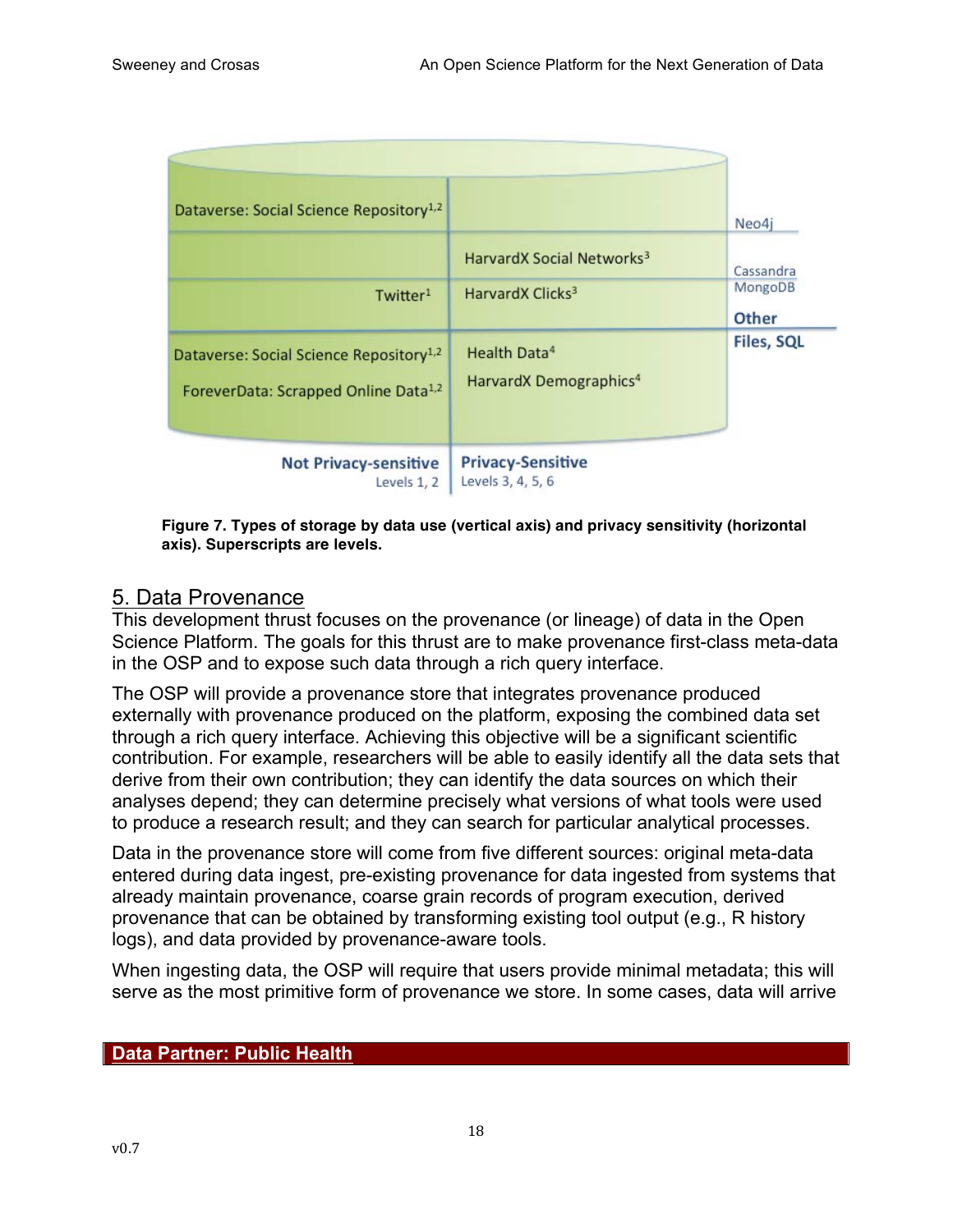| Dataverse: Social Science Repository <sup>1,2</sup>                                                     |                                                                | Neo4j             |
|---------------------------------------------------------------------------------------------------------|----------------------------------------------------------------|-------------------|
|                                                                                                         | HarvardX Social Networks <sup>3</sup>                          | Cassandra         |
| Twitter <sup>1</sup>                                                                                    | HarvardX Clicks <sup>3</sup>                                   | MongoDB<br>Other  |
| Dataverse: Social Science Repository <sup>1,2</sup><br>ForeverData: Scrapped Online Data <sup>1,2</sup> | Health Data <sup>4</sup><br>HarvardX Demographics <sup>4</sup> | <b>Files, SQL</b> |
| <b>Not Privacy-sensitive</b><br>Levels 1, 2                                                             | <b>Privacy-Sensitive</b><br>Levels 3, 4, 5, 6                  |                   |

**Figure 7. Types of storage by data use (vertical axis) and privacy sensitivity (horizontal axis). Superscripts are levels.**

### 5. Data Provenance

This development thrust focuses on the provenance (or lineage) of data in the Open Science Platform. The goals for this thrust are to make provenance first-class meta-data in the OSP and to expose such data through a rich query interface.

The OSP will provide a provenance store that integrates provenance produced externally with provenance produced on the platform, exposing the combined data set through a rich query interface. Achieving this objective will be a significant scientific contribution. For example, researchers will be able to easily identify all the data sets that derive from their own contribution; they can identify the data sources on which their analyses depend; they can determine precisely what versions of what tools were used to produce a research result; and they can search for particular analytical processes.

Data in the provenance store will come from five different sources: original meta-data entered during data ingest, pre-existing provenance for data ingested from systems that already maintain provenance, coarse grain records of program execution, derived provenance that can be obtained by transforming existing tool output (e.g., R history logs), and data provided by provenance-aware tools.

When ingesting data, the OSP will require that users provide minimal metadata; this will serve as the most primitive form of provenance we store. In some cases, data will arrive

### **Data Partner: Public Health**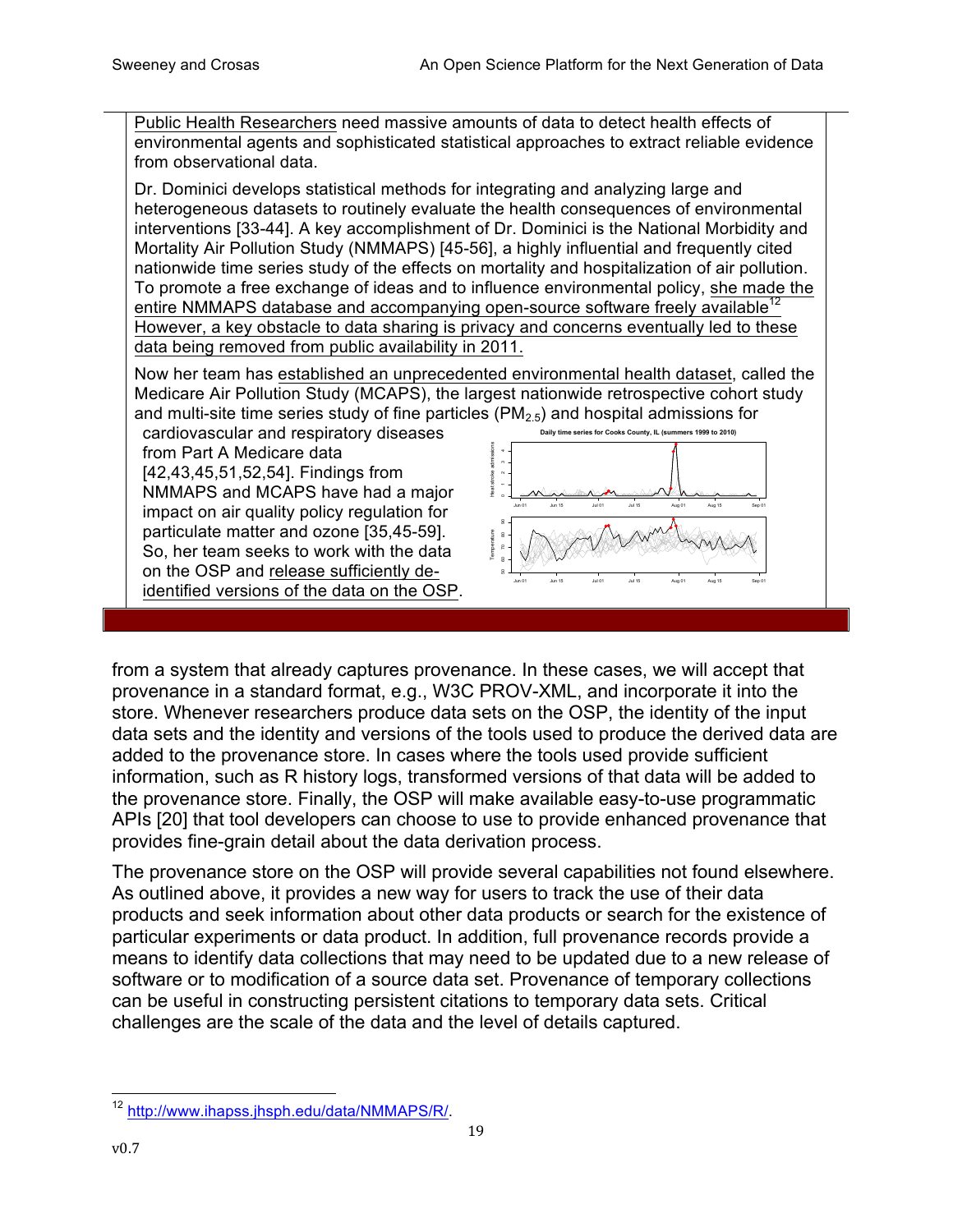Public Health Researchers need massive amounts of data to detect health effects of environmental agents and sophisticated statistical approaches to extract reliable evidence from observational data.

Dr. Dominici develops statistical methods for integrating and analyzing large and heterogeneous datasets to routinely evaluate the health consequences of environmental interventions [33-44]. A key accomplishment of Dr. Dominici is the National Morbidity and Mortality Air Pollution Study (NMMAPS) [45-56], a highly influential and frequently cited nationwide time series study of the effects on mortality and hospitalization of air pollution. To promote a free exchange of ideas and to influence environmental policy, she made the entire NMMAPS database and accompanying open-source software freely available<sup>12</sup> However, a key obstacle to data sharing is privacy and concerns eventually led to these data being removed from public availability in 2011.

Now her team has established an unprecedented environmental health dataset, called the Medicare Air Pollution Study (MCAPS), the largest nationwide retrospective cohort study and multi-site time series study of fine particles  $(PM_{2.5})$  and hospital admissions for

cardiovascular and respiratory diseases from Part A Medicare data [42,43,45,51,52,54]. Findings from NMMAPS and MCAPS have had a major impact on air quality policy regulation for particulate matter and ozone [35,45-59]. So, her team seeks to work with the data on the OSP and release sufficiently deidentified versions of the data on the OSP.



from a system that already captures provenance. In these cases, we will accept that provenance in a standard format, e.g., W3C PROV-XML, and incorporate it into the store. Whenever researchers produce data sets on the OSP, the identity of the input data sets and the identity and versions of the tools used to produce the derived data are added to the provenance store. In cases where the tools used provide sufficient information, such as R history logs, transformed versions of that data will be added to the provenance store. Finally, the OSP will make available easy-to-use programmatic APIs [20] that tool developers can choose to use to provide enhanced provenance that provides fine-grain detail about the data derivation process.

The provenance store on the OSP will provide several capabilities not found elsewhere. As outlined above, it provides a new way for users to track the use of their data products and seek information about other data products or search for the existence of particular experiments or data product. In addition, full provenance records provide a means to identify data collections that may need to be updated due to a new release of software or to modification of a source data set. Provenance of temporary collections can be useful in constructing persistent citations to temporary data sets. Critical challenges are the scale of the data and the level of details captured.

 <sup>12</sup> http://www.ihapss.jhsph.edu/data/NMMAPS/R/.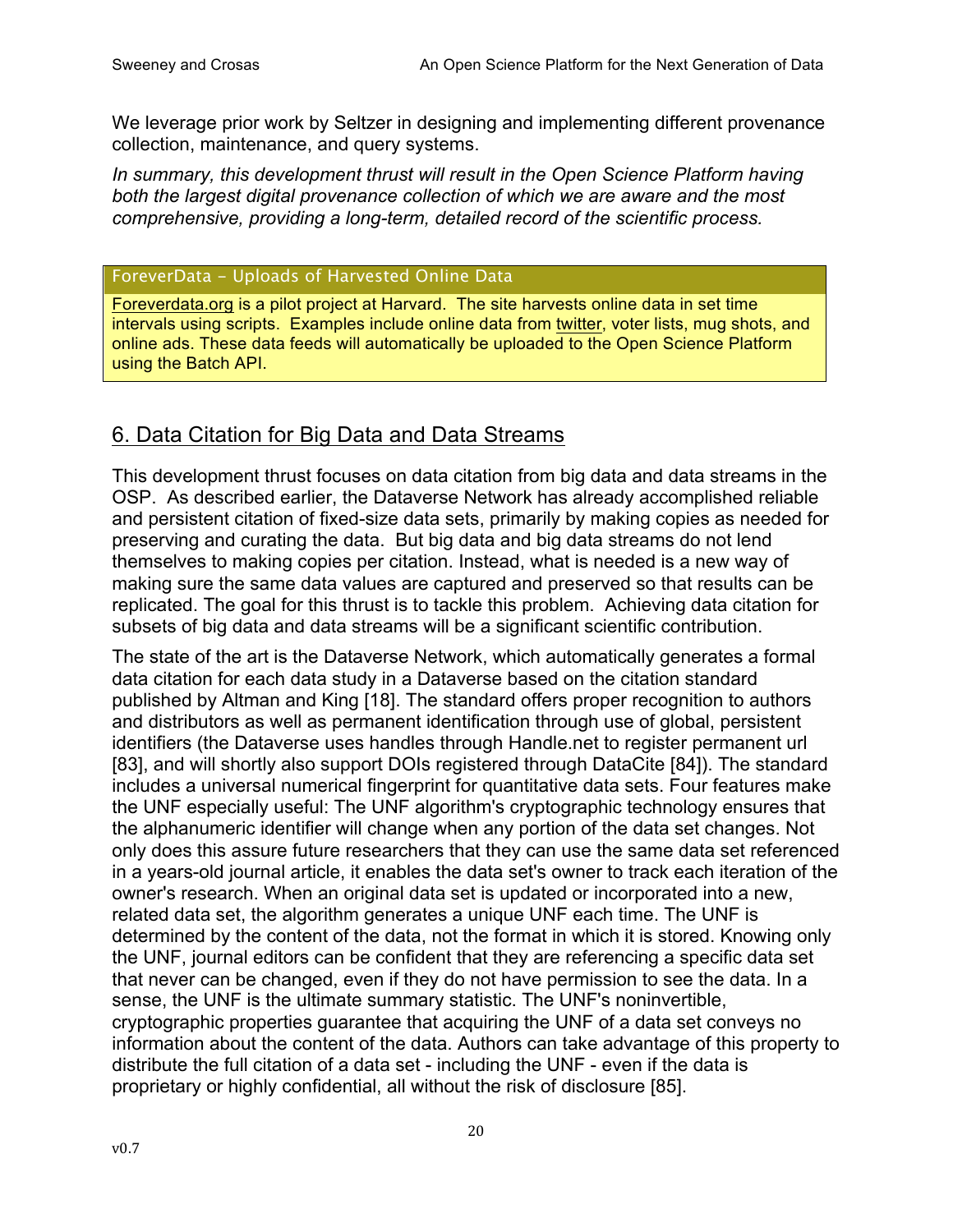We leverage prior work by Seltzer in designing and implementing different provenance collection, maintenance, and query systems.

*In summary, this development thrust will result in the Open Science Platform having both the largest digital provenance collection of which we are aware and the most comprehensive, providing a long-term, detailed record of the scientific process.*

### ForeverData - Uploads of Harvested Online Data

Foreverdata.org is a pilot project at Harvard. The site harvests online data in set time intervals using scripts. Examples include online data from twitter, voter lists, mug shots, and online ads. These data feeds will automatically be uploaded to the Open Science Platform using the Batch API.

## 6. Data Citation for Big Data and Data Streams

This development thrust focuses on data citation from big data and data streams in the OSP. As described earlier, the Dataverse Network has already accomplished reliable and persistent citation of fixed-size data sets, primarily by making copies as needed for preserving and curating the data. But big data and big data streams do not lend themselves to making copies per citation. Instead, what is needed is a new way of making sure the same data values are captured and preserved so that results can be replicated. The goal for this thrust is to tackle this problem. Achieving data citation for subsets of big data and data streams will be a significant scientific contribution.

The state of the art is the Dataverse Network, which automatically generates a formal data citation for each data study in a Dataverse based on the citation standard published by Altman and King [18]. The standard offers proper recognition to authors and distributors as well as permanent identification through use of global, persistent identifiers (the Dataverse uses handles through Handle.net to register permanent url [83], and will shortly also support DOIs registered through DataCite [84]). The standard includes a universal numerical fingerprint for quantitative data sets. Four features make the UNF especially useful: The UNF algorithm's cryptographic technology ensures that the alphanumeric identifier will change when any portion of the data set changes. Not only does this assure future researchers that they can use the same data set referenced in a years-old journal article, it enables the data set's owner to track each iteration of the owner's research. When an original data set is updated or incorporated into a new, related data set, the algorithm generates a unique UNF each time. The UNF is determined by the content of the data, not the format in which it is stored. Knowing only the UNF, journal editors can be confident that they are referencing a specific data set that never can be changed, even if they do not have permission to see the data. In a sense, the UNF is the ultimate summary statistic. The UNF's noninvertible, cryptographic properties guarantee that acquiring the UNF of a data set conveys no information about the content of the data. Authors can take advantage of this property to distribute the full citation of a data set - including the UNF - even if the data is proprietary or highly confidential, all without the risk of disclosure [85].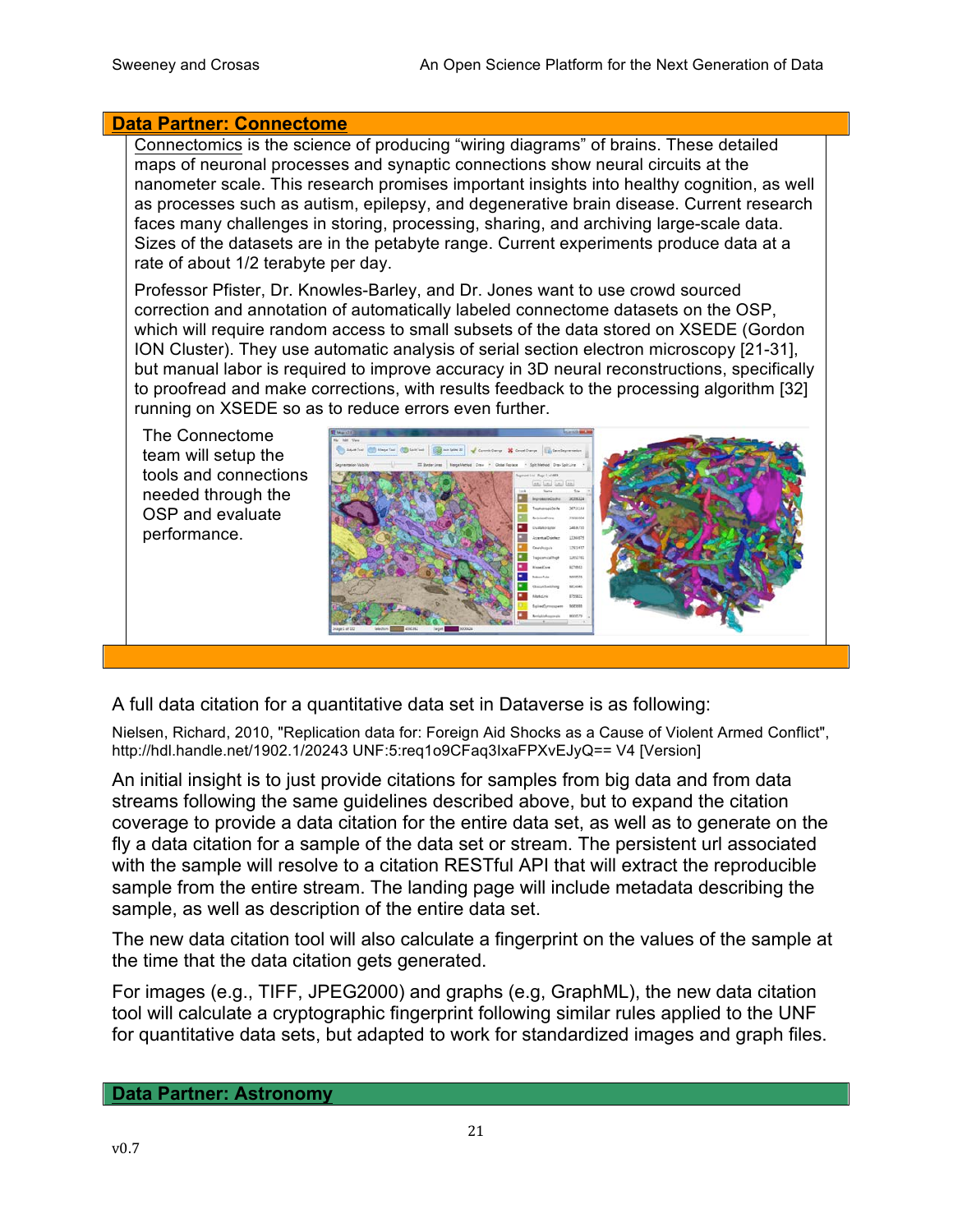#### **Data Partner: Connectome**

Connectomics is the science of producing "wiring diagrams" of brains. These detailed maps of neuronal processes and synaptic connections show neural circuits at the nanometer scale. This research promises important insights into healthy cognition, as well as processes such as autism, epilepsy, and degenerative brain disease. Current research faces many challenges in storing, processing, sharing, and archiving large-scale data. Sizes of the datasets are in the petabyte range. Current experiments produce data at a rate of about 1/2 terabyte per day.

Professor Pfister, Dr. Knowles-Barley, and Dr. Jones want to use crowd sourced correction and annotation of automatically labeled connectome datasets on the OSP, which will require random access to small subsets of the data stored on XSEDE (Gordon ION Cluster). They use automatic analysis of serial section electron microscopy [21-31], but manual labor is required to improve accuracy in 3D neural reconstructions, specifically to proofread and make corrections, with results feedback to the processing algorithm [32] running on XSEDE so as to reduce errors even further.



A full data citation for a quantitative data set in Dataverse is as following:

Nielsen, Richard, 2010, "Replication data for: Foreign Aid Shocks as a Cause of Violent Armed Conflict", http://hdl.handle.net/1902.1/20243 UNF:5:req1o9CFaq3IxaFPXvEJyQ== V4 [Version]

An initial insight is to just provide citations for samples from big data and from data streams following the same guidelines described above, but to expand the citation coverage to provide a data citation for the entire data set, as well as to generate on the fly a data citation for a sample of the data set or stream. The persistent url associated with the sample will resolve to a citation RESTful API that will extract the reproducible sample from the entire stream. The landing page will include metadata describing the sample, as well as description of the entire data set.

The new data citation tool will also calculate a fingerprint on the values of the sample at the time that the data citation gets generated.

For images (e.g., TIFF, JPEG2000) and graphs (e.g, GraphML), the new data citation tool will calculate a cryptographic fingerprint following similar rules applied to the UNF for quantitative data sets, but adapted to work for standardized images and graph files.

#### **Data Partner: Astronomy**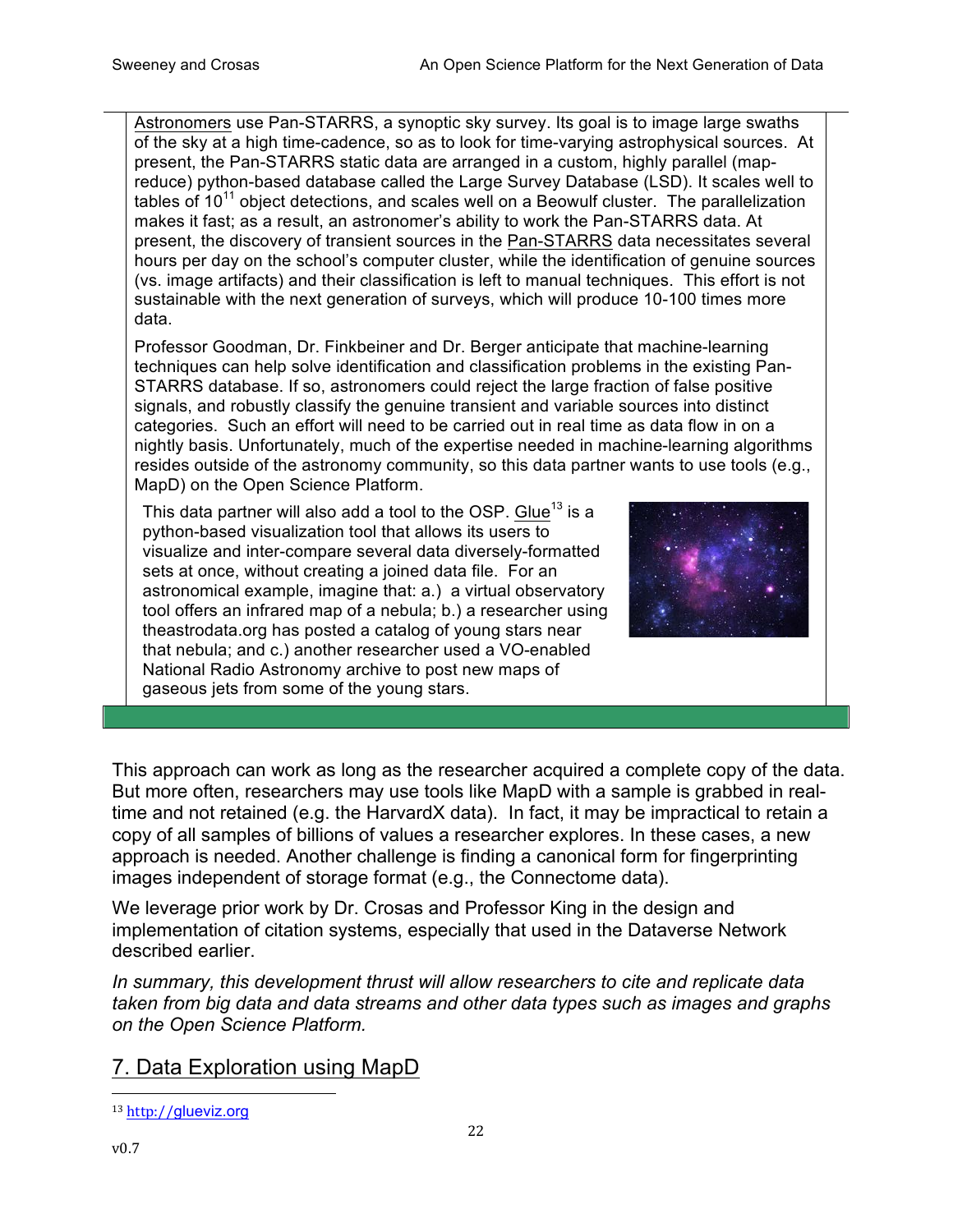Astronomers use Pan-STARRS, a synoptic sky survey. Its goal is to image large swaths of the sky at a high time-cadence, so as to look for time-varying astrophysical sources. At present, the Pan-STARRS static data are arranged in a custom, highly parallel (mapreduce) python-based database called the Large Survey Database (LSD). It scales well to tables of  $10^{11}$  object detections, and scales well on a Beowulf cluster. The parallelization makes it fast; as a result, an astronomer's ability to work the Pan-STARRS data. At present, the discovery of transient sources in the Pan-STARRS data necessitates several hours per day on the school's computer cluster, while the identification of genuine sources (vs. image artifacts) and their classification is left to manual techniques. This effort is not sustainable with the next generation of surveys, which will produce 10-100 times more data.

Professor Goodman, Dr. Finkbeiner and Dr. Berger anticipate that machine-learning techniques can help solve identification and classification problems in the existing Pan-STARRS database. If so, astronomers could reject the large fraction of false positive signals, and robustly classify the genuine transient and variable sources into distinct categories. Such an effort will need to be carried out in real time as data flow in on a nightly basis. Unfortunately, much of the expertise needed in machine-learning algorithms resides outside of the astronomy community, so this data partner wants to use tools (e.g., MapD) on the Open Science Platform.

This data partner will also add a tool to the OSP. Glue<sup>13</sup> is a python-based visualization tool that allows its users to visualize and inter-compare several data diversely-formatted sets at once, without creating a joined data file. For an astronomical example, imagine that: a.) a virtual observatory tool offers an infrared map of a nebula; b.) a researcher using theastrodata.org has posted a catalog of young stars near that nebula; and c.) another researcher used a VO-enabled National Radio Astronomy archive to post new maps of gaseous jets from some of the young stars.



This approach can work as long as the researcher acquired a complete copy of the data. But more often, researchers may use tools like MapD with a sample is grabbed in realtime and not retained (e.g. the HarvardX data). In fact, it may be impractical to retain a copy of all samples of billions of values a researcher explores. In these cases, a new approach is needed. Another challenge is finding a canonical form for fingerprinting images independent of storage format (e.g., the Connectome data).

We leverage prior work by Dr. Crosas and Professor King in the design and implementation of citation systems, especially that used in the Dataverse Network described earlier.

*In summary, this development thrust will allow researchers to cite and replicate data taken from big data and data streams and other data types such as images and graphs on the Open Science Platform.*

22

# 7. Data Exploration using MapD

 <sup>13</sup> http://glueviz.org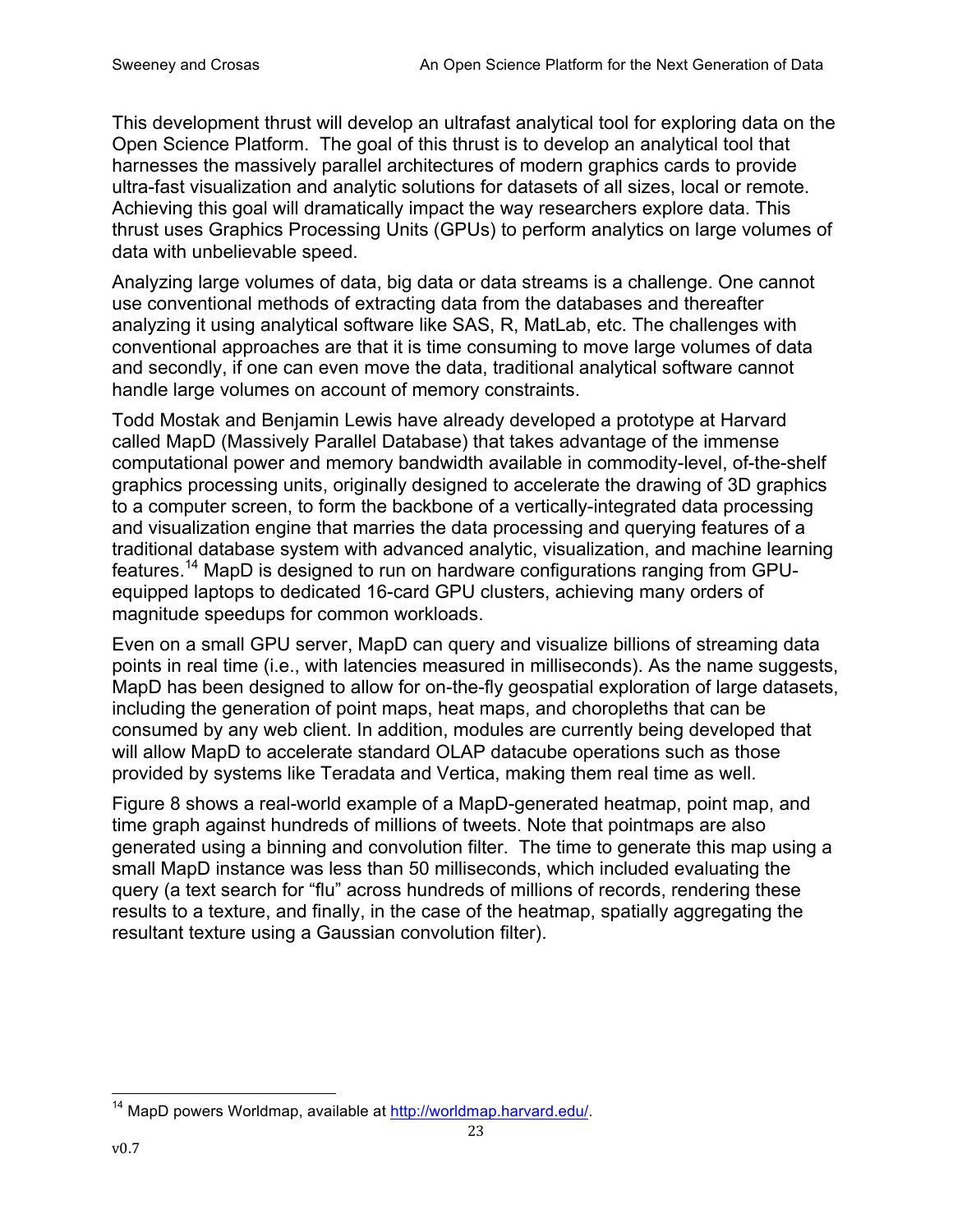This development thrust will develop an ultrafast analytical tool for exploring data on the Open Science Platform. The goal of this thrust is to develop an analytical tool that harnesses the massively parallel architectures of modern graphics cards to provide ultra-fast visualization and analytic solutions for datasets of all sizes, local or remote. Achieving this goal will dramatically impact the way researchers explore data. This thrust uses Graphics Processing Units (GPUs) to perform analytics on large volumes of data with unbelievable speed.

Analyzing large volumes of data, big data or data streams is a challenge. One cannot use conventional methods of extracting data from the databases and thereafter analyzing it using analytical software like SAS, R, MatLab, etc. The challenges with conventional approaches are that it is time consuming to move large volumes of data and secondly, if one can even move the data, traditional analytical software cannot handle large volumes on account of memory constraints.

Todd Mostak and Benjamin Lewis have already developed a prototype at Harvard called MapD (Massively Parallel Database) that takes advantage of the immense computational power and memory bandwidth available in commodity-level, of-the-shelf graphics processing units, originally designed to accelerate the drawing of 3D graphics to a computer screen, to form the backbone of a vertically-integrated data processing and visualization engine that marries the data processing and querying features of a traditional database system with advanced analytic, visualization, and machine learning features.<sup>14</sup> MapD is designed to run on hardware configurations ranging from GPUequipped laptops to dedicated 16-card GPU clusters, achieving many orders of magnitude speedups for common workloads.

Even on a small GPU server, MapD can query and visualize billions of streaming data points in real time (i.e., with latencies measured in milliseconds). As the name suggests, MapD has been designed to allow for on-the-fly geospatial exploration of large datasets, including the generation of point maps, heat maps, and choropleths that can be consumed by any web client. In addition, modules are currently being developed that will allow MapD to accelerate standard OLAP datacube operations such as those provided by systems like Teradata and Vertica, making them real time as well.

Figure 8 shows a real-world example of a MapD-generated heatmap, point map, and time graph against hundreds of millions of tweets. Note that pointmaps are also generated using a binning and convolution filter. The time to generate this map using a small MapD instance was less than 50 milliseconds, which included evaluating the query (a text search for "flu" across hundreds of millions of records, rendering these results to a texture, and finally, in the case of the heatmap, spatially aggregating the resultant texture using a Gaussian convolution filter).

<sup>&</sup>lt;sup>14</sup> MapD powers Worldmap, available at http://worldmap.harvard.edu/.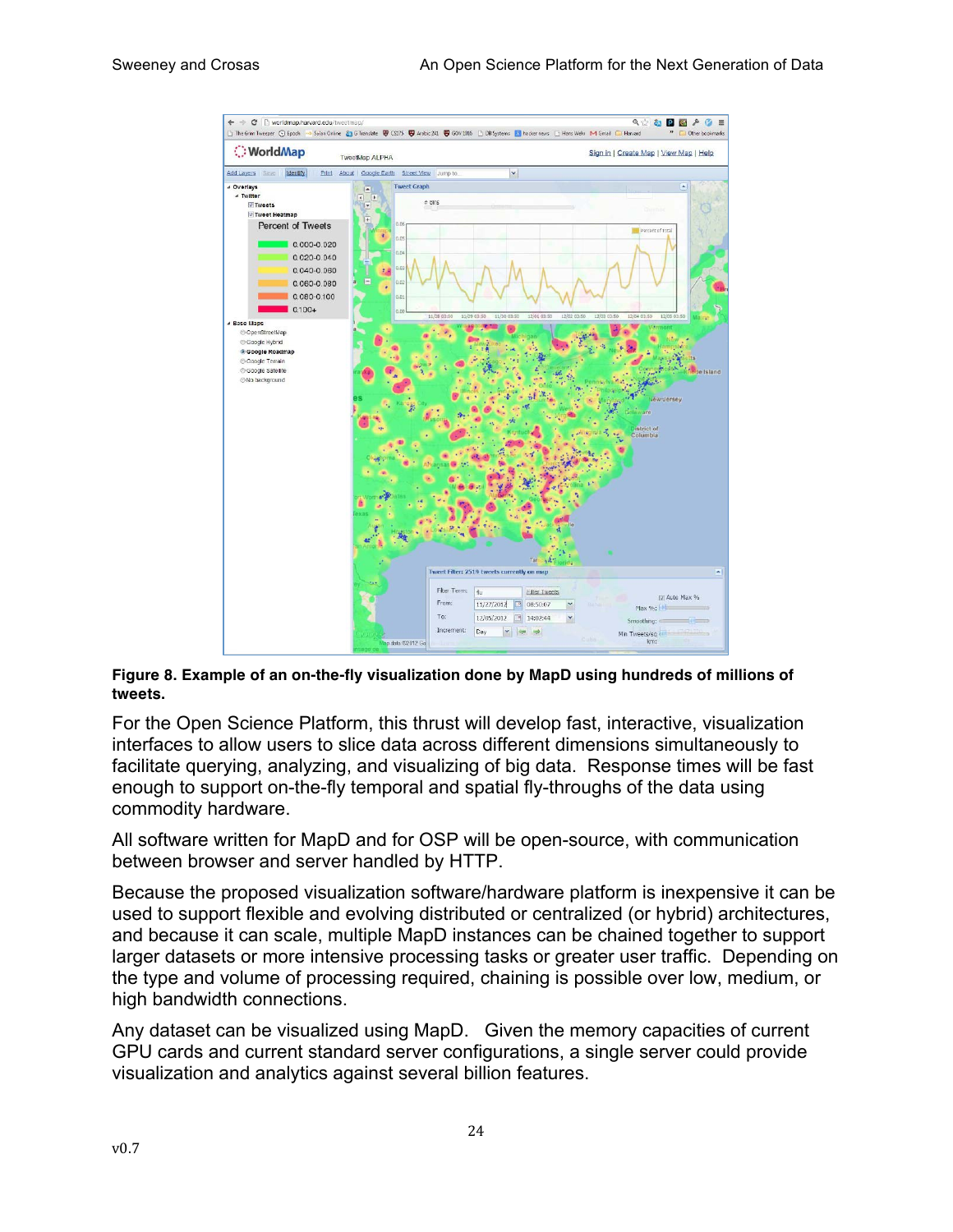

**Figure 8. Example of an on-the-fly visualization done by MapD using hundreds of millions of tweets.** 

For the Open Science Platform, this thrust will develop fast, interactive, visualization interfaces to allow users to slice data across different dimensions simultaneously to facilitate querying, analyzing, and visualizing of big data. Response times will be fast enough to support on-the-fly temporal and spatial fly-throughs of the data using commodity hardware.

All software written for MapD and for OSP will be open-source, with communication between browser and server handled by HTTP.

Because the proposed visualization software/hardware platform is inexpensive it can be used to support flexible and evolving distributed or centralized (or hybrid) architectures, and because it can scale, multiple MapD instances can be chained together to support larger datasets or more intensive processing tasks or greater user traffic. Depending on the type and volume of processing required, chaining is possible over low, medium, or high bandwidth connections.

Any dataset can be visualized using MapD. Given the memory capacities of current GPU cards and current standard server configurations, a single server could provide visualization and analytics against several billion features.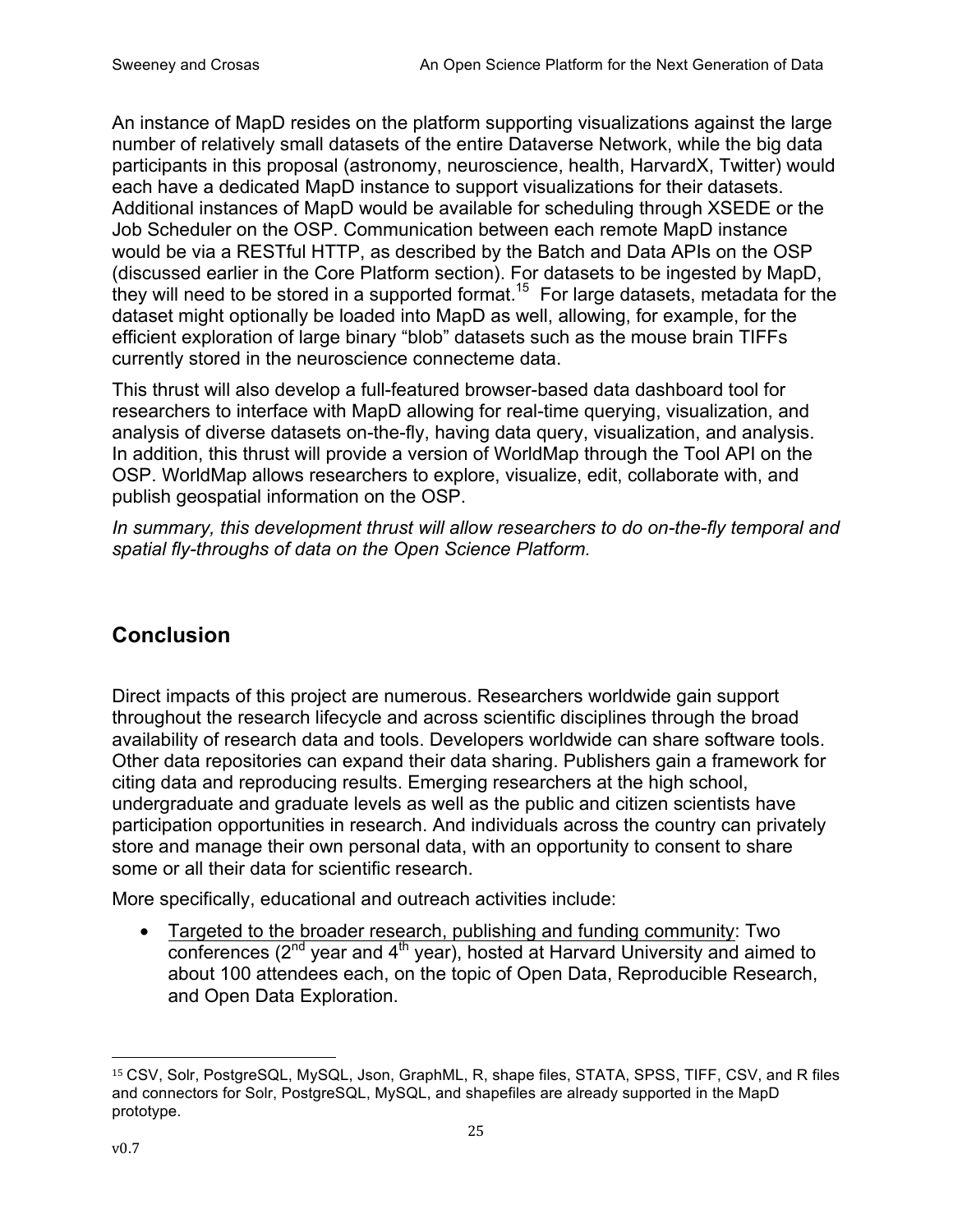An instance of MapD resides on the platform supporting visualizations against the large number of relatively small datasets of the entire Dataverse Network, while the big data participants in this proposal (astronomy, neuroscience, health, HarvardX, Twitter) would each have a dedicated MapD instance to support visualizations for their datasets. Additional instances of MapD would be available for scheduling through XSEDE or the Job Scheduler on the OSP. Communication between each remote MapD instance would be via a RESTful HTTP, as described by the Batch and Data APIs on the OSP (discussed earlier in the Core Platform section). For datasets to be ingested by MapD, they will need to be stored in a supported format.<sup>15</sup> For large datasets, metadata for the dataset might optionally be loaded into MapD as well, allowing, for example, for the efficient exploration of large binary "blob" datasets such as the mouse brain TIFFs currently stored in the neuroscience connecteme data.

This thrust will also develop a full-featured browser-based data dashboard tool for researchers to interface with MapD allowing for real-time querying, visualization, and analysis of diverse datasets on-the-fly, having data query, visualization, and analysis. In addition, this thrust will provide a version of WorldMap through the Tool API on the OSP. WorldMap allows researchers to explore, visualize, edit, collaborate with, and publish geospatial information on the OSP.

*In summary, this development thrust will allow researchers to do on-the-fly temporal and spatial fly-throughs of data on the Open Science Platform.*

# **Conclusion**

Direct impacts of this project are numerous. Researchers worldwide gain support throughout the research lifecycle and across scientific disciplines through the broad availability of research data and tools. Developers worldwide can share software tools. Other data repositories can expand their data sharing. Publishers gain a framework for citing data and reproducing results. Emerging researchers at the high school, undergraduate and graduate levels as well as the public and citizen scientists have participation opportunities in research. And individuals across the country can privately store and manage their own personal data, with an opportunity to consent to share some or all their data for scientific research.

More specifically, educational and outreach activities include:

• Targeted to the broader research, publishing and funding community: Two conferences  $(2^{nd}$  year and  $4^{th}$  year), hosted at Harvard University and aimed to about 100 attendees each, on the topic of Open Data, Reproducible Research, and Open Data Exploration.

 <sup>15</sup> CSV, Solr, PostgreSQL, MySQL, Json, GraphML, R, shape files, STATA, SPSS, TIFF, CSV, and R files and connectors for Solr, PostgreSQL, MySQL, and shapefiles are already supported in the MapD prototype.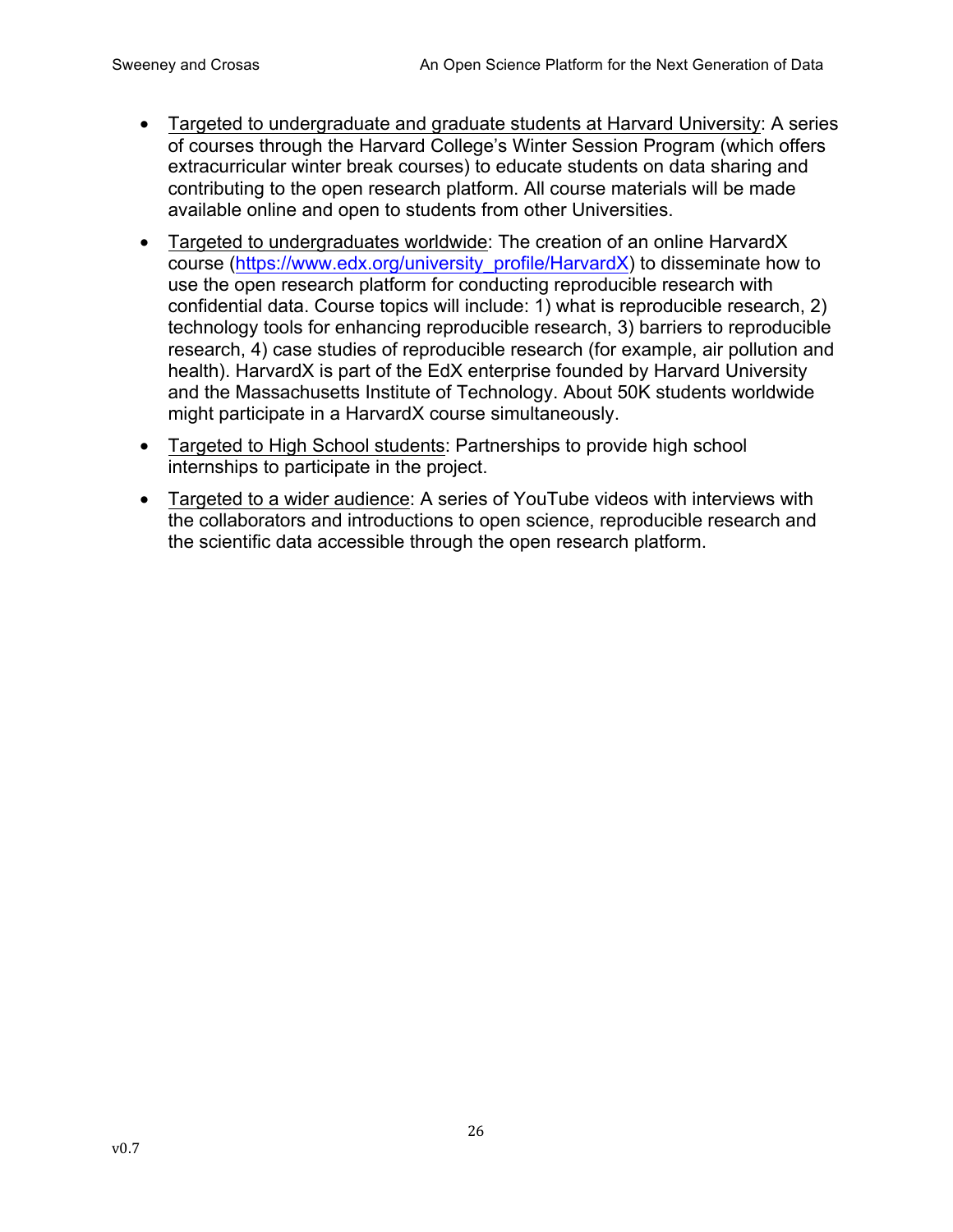- Targeted to undergraduate and graduate students at Harvard University: A series of courses through the Harvard College's Winter Session Program (which offers extracurricular winter break courses) to educate students on data sharing and contributing to the open research platform. All course materials will be made available online and open to students from other Universities.
- Targeted to undergraduates worldwide: The creation of an online HarvardX course (https://www.edx.org/university\_profile/HarvardX) to disseminate how to use the open research platform for conducting reproducible research with confidential data. Course topics will include: 1) what is reproducible research, 2) technology tools for enhancing reproducible research, 3) barriers to reproducible research, 4) case studies of reproducible research (for example, air pollution and health). HarvardX is part of the EdX enterprise founded by Harvard University and the Massachusetts Institute of Technology. About 50K students worldwide might participate in a HarvardX course simultaneously.
- Targeted to High School students: Partnerships to provide high school internships to participate in the project.
- Targeted to a wider audience: A series of YouTube videos with interviews with the collaborators and introductions to open science, reproducible research and the scientific data accessible through the open research platform.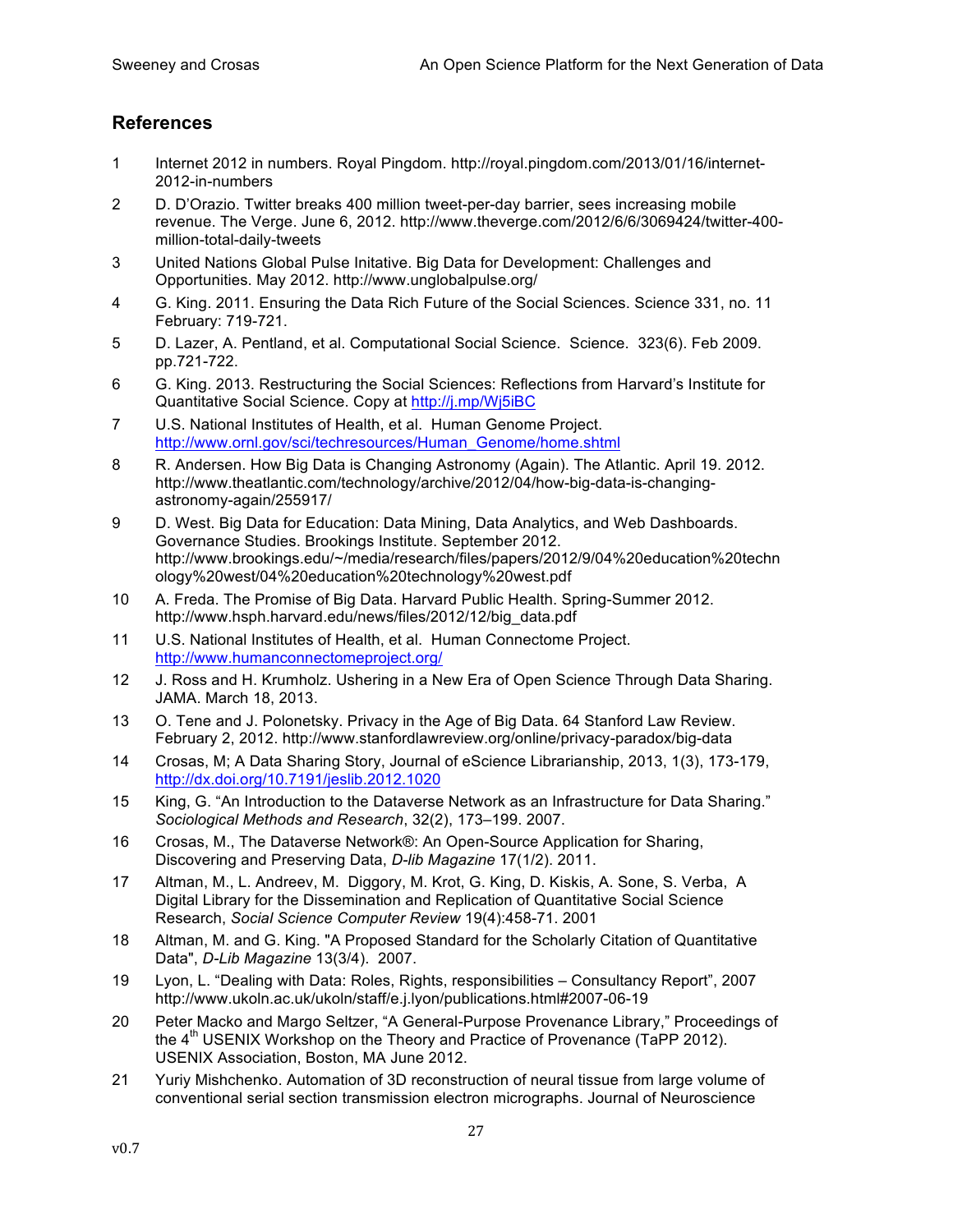#### **References**

- 1 Internet 2012 in numbers. Royal Pingdom. http://royal.pingdom.com/2013/01/16/internet-2012-in-numbers
- 2 D. D'Orazio. Twitter breaks 400 million tweet-per-day barrier, sees increasing mobile revenue. The Verge. June 6, 2012. http://www.theverge.com/2012/6/6/3069424/twitter-400 million-total-daily-tweets
- 3 United Nations Global Pulse Initative. Big Data for Development: Challenges and Opportunities. May 2012. http://www.unglobalpulse.org/
- 4 G. King. 2011. Ensuring the Data Rich Future of the Social Sciences. Science 331, no. 11 February: 719-721.
- 5 D. Lazer, A. Pentland, et al. Computational Social Science. Science. 323(6). Feb 2009. pp.721-722.
- 6 G. King. 2013. Restructuring the Social Sciences: Reflections from Harvard's Institute for Quantitative Social Science. Copy at http://j.mp/Wj5iBC
- 7 U.S. National Institutes of Health, et al. Human Genome Project. http://www.ornl.gov/sci/techresources/Human\_Genome/home.shtml
- 8 R. Andersen. How Big Data is Changing Astronomy (Again). The Atlantic. April 19. 2012. http://www.theatlantic.com/technology/archive/2012/04/how-big-data-is-changingastronomy-again/255917/
- 9 D. West. Big Data for Education: Data Mining, Data Analytics, and Web Dashboards. Governance Studies. Brookings Institute. September 2012. http://www.brookings.edu/~/media/research/files/papers/2012/9/04%20education%20techn ology%20west/04%20education%20technology%20west.pdf
- 10 A. Freda. The Promise of Big Data. Harvard Public Health. Spring-Summer 2012. http://www.hsph.harvard.edu/news/files/2012/12/big\_data.pdf
- 11 U.S. National Institutes of Health, et al. Human Connectome Project. http://www.humanconnectomeproject.org/
- 12 J. Ross and H. Krumholz. Ushering in a New Era of Open Science Through Data Sharing. JAMA. March 18, 2013.
- 13 O. Tene and J. Polonetsky. Privacy in the Age of Big Data. 64 Stanford Law Review. February 2, 2012. http://www.stanfordlawreview.org/online/privacy-paradox/big-data
- 14 Crosas, M; A Data Sharing Story, Journal of eScience Librarianship, 2013, 1(3), 173-179, http://dx.doi.org/10.7191/jeslib.2012.1020
- 15 King, G. "An Introduction to the Dataverse Network as an Infrastructure for Data Sharing." *Sociological Methods and Research*, 32(2), 173–199. 2007.
- 16 Crosas, M., The Dataverse Network®: An Open-Source Application for Sharing, Discovering and Preserving Data, *D-lib Magazine* 17(1/2). 2011.
- 17 Altman, M., L. Andreev, M. Diggory, M. Krot, G. King, D. Kiskis, A. Sone, S. Verba, A Digital Library for the Dissemination and Replication of Quantitative Social Science Research, *Social Science Computer Review* 19(4):458-71. 2001
- 18 Altman, M. and G. King. "A Proposed Standard for the Scholarly Citation of Quantitative Data", *D-Lib Magazine* 13(3/4). 2007.
- 19 Lyon, L. "Dealing with Data: Roles, Rights, responsibilities Consultancy Report", 2007 http://www.ukoln.ac.uk/ukoln/staff/e.j.lyon/publications.html#2007-06-19
- 20 Peter Macko and Margo Seltzer, "A General-Purpose Provenance Library," Proceedings of the 4<sup>th</sup> USENIX Workshop on the Theory and Practice of Provenance (TaPP 2012). USENIX Association, Boston, MA June 2012.
- 21 Yuriy Mishchenko. Automation of 3D reconstruction of neural tissue from large volume of conventional serial section transmission electron micrographs. Journal of Neuroscience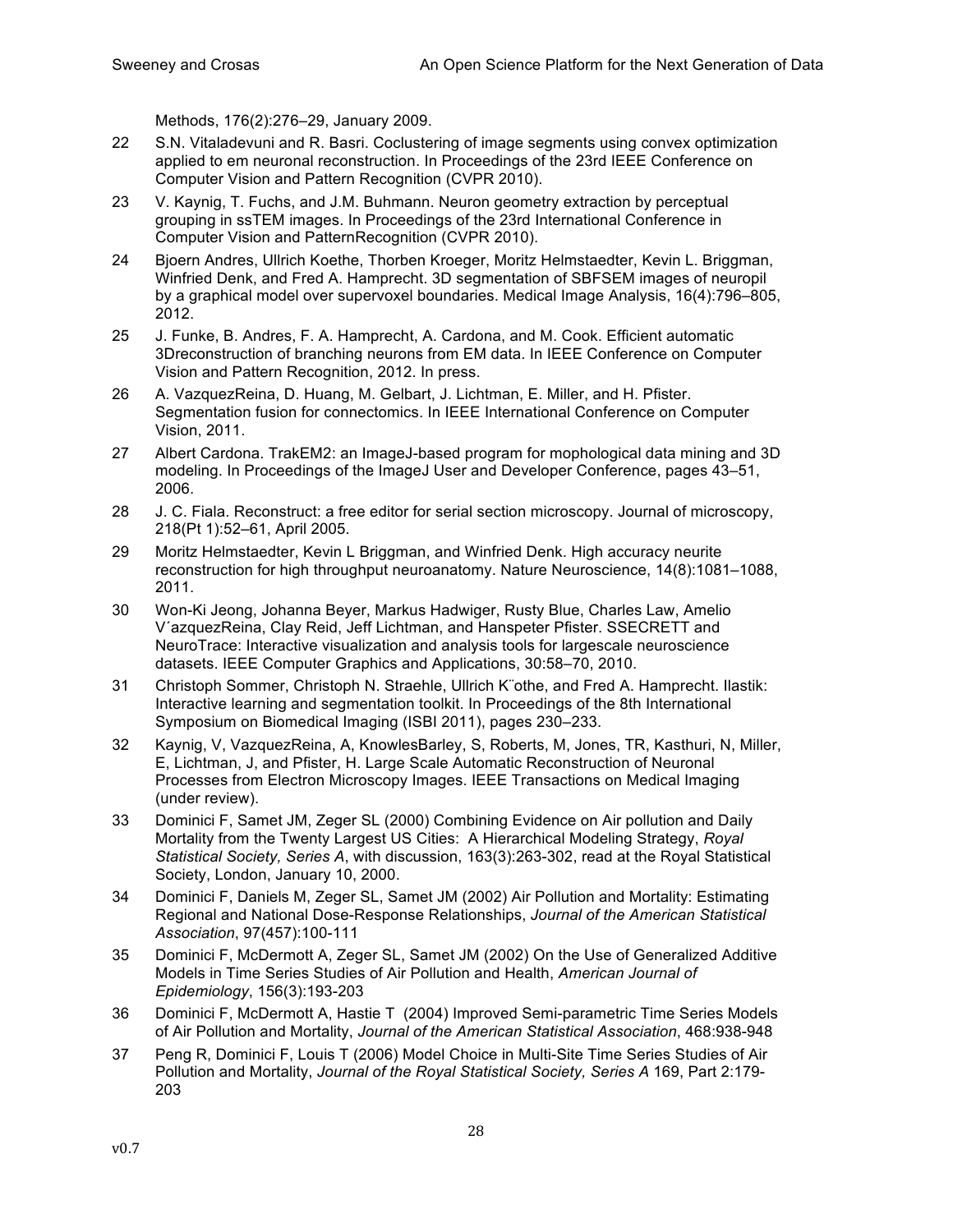Methods, 176(2):276–29, January 2009.

- 22 S.N. Vitaladevuni and R. Basri. Coclustering of image segments using convex optimization applied to em neuronal reconstruction. In Proceedings of the 23rd IEEE Conference on Computer Vision and Pattern Recognition (CVPR 2010).
- 23 V. Kaynig, T. Fuchs, and J.M. Buhmann. Neuron geometry extraction by perceptual grouping in ssTEM images. In Proceedings of the 23rd International Conference in Computer Vision and PatternRecognition (CVPR 2010).
- 24 Bjoern Andres, Ullrich Koethe, Thorben Kroeger, Moritz Helmstaedter, Kevin L. Briggman, Winfried Denk, and Fred A. Hamprecht. 3D segmentation of SBFSEM images of neuropil by a graphical model over supervoxel boundaries. Medical Image Analysis, 16(4):796–805, 2012.
- 25 J. Funke, B. Andres, F. A. Hamprecht, A. Cardona, and M. Cook. Efficient automatic 3Dreconstruction of branching neurons from EM data. In IEEE Conference on Computer Vision and Pattern Recognition, 2012. In press.
- 26 A. VazquezReina, D. Huang, M. Gelbart, J. Lichtman, E. Miller, and H. Pfister. Segmentation fusion for connectomics. In IEEE International Conference on Computer Vision, 2011.
- 27 Albert Cardona. TrakEM2: an ImageJ-based program for mophological data mining and 3D modeling. In Proceedings of the ImageJ User and Developer Conference, pages 43–51, 2006.
- 28 J. C. Fiala. Reconstruct: a free editor for serial section microscopy. Journal of microscopy, 218(Pt 1):52–61, April 2005.
- 29 Moritz Helmstaedter, Kevin L Briggman, and Winfried Denk. High accuracy neurite reconstruction for high throughput neuroanatomy. Nature Neuroscience, 14(8):1081–1088, 2011.
- 30 Won-Ki Jeong, Johanna Beyer, Markus Hadwiger, Rusty Blue, Charles Law, Amelio V´azquezReina, Clay Reid, Jeff Lichtman, and Hanspeter Pfister. SSECRETT and NeuroTrace: Interactive visualization and analysis tools for largescale neuroscience datasets. IEEE Computer Graphics and Applications, 30:58–70, 2010.
- 31 Christoph Sommer, Christoph N. Straehle, Ullrich K¨othe, and Fred A. Hamprecht. Ilastik: Interactive learning and segmentation toolkit. In Proceedings of the 8th International Symposium on Biomedical Imaging (ISBI 2011), pages 230–233.
- 32 Kaynig, V, VazquezReina, A, KnowlesBarley, S, Roberts, M, Jones, TR, Kasthuri, N, Miller, E, Lichtman, J, and Pfister, H. Large Scale Automatic Reconstruction of Neuronal Processes from Electron Microscopy Images. IEEE Transactions on Medical Imaging (under review).
- 33 Dominici F, Samet JM, Zeger SL (2000) Combining Evidence on Air pollution and Daily Mortality from the Twenty Largest US Cities: A Hierarchical Modeling Strategy, *Royal Statistical Society, Series A*, with discussion, 163(3):263-302, read at the Royal Statistical Society, London, January 10, 2000.
- 34 Dominici F, Daniels M, Zeger SL, Samet JM (2002) Air Pollution and Mortality: Estimating Regional and National Dose-Response Relationships, *Journal of the American Statistical Association*, 97(457):100-111
- 35 Dominici F, McDermott A, Zeger SL, Samet JM (2002) On the Use of Generalized Additive Models in Time Series Studies of Air Pollution and Health, *American Journal of Epidemiology*, 156(3):193-203
- 36 Dominici F, McDermott A, Hastie T (2004) Improved Semi-parametric Time Series Models of Air Pollution and Mortality, *Journal of the American Statistical Association*, 468:938-948
- 37 Peng R, Dominici F, Louis T (2006) Model Choice in Multi-Site Time Series Studies of Air Pollution and Mortality, *Journal of the Royal Statistical Society, Series A* 169, Part 2:179- 203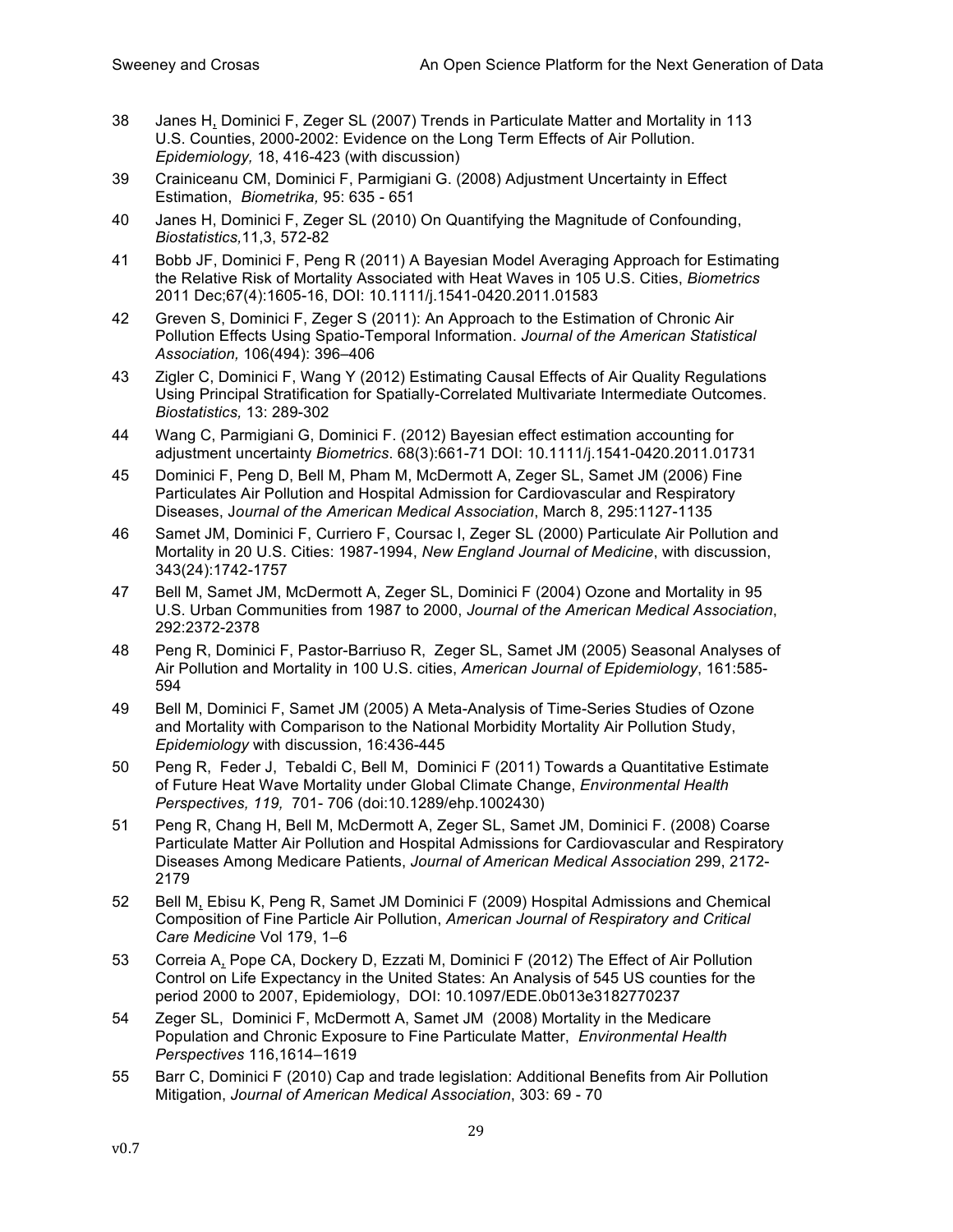- 38 Janes H, Dominici F, Zeger SL (2007) Trends in Particulate Matter and Mortality in 113 U.S. Counties, 2000-2002: Evidence on the Long Term Effects of Air Pollution. *Epidemiology,* 18, 416-423 (with discussion)
- 39 Crainiceanu CM, Dominici F, Parmigiani G. (2008) Adjustment Uncertainty in Effect Estimation, *Biometrika,* 95: 635 - 651
- 40 Janes H, Dominici F, Zeger SL (2010) On Quantifying the Magnitude of Confounding, *Biostatistics,*11,3, 572-82
- 41 Bobb JF, Dominici F, Peng R (2011) A Bayesian Model Averaging Approach for Estimating the Relative Risk of Mortality Associated with Heat Waves in 105 U.S. Cities, *Biometrics* 2011 Dec;67(4):1605-16, DOI: 10.1111/j.1541-0420.2011.01583
- 42 Greven S, Dominici F, Zeger S (2011): An Approach to the Estimation of Chronic Air Pollution Effects Using Spatio-Temporal Information. *Journal of the American Statistical Association,* 106(494): 396–406
- 43 Zigler C, Dominici F, Wang Y (2012) Estimating Causal Effects of Air Quality Regulations Using Principal Stratification for Spatially-Correlated Multivariate Intermediate Outcomes. *Biostatistics,* 13: 289-302
- 44 Wang C, Parmigiani G, Dominici F. (2012) Bayesian effect estimation accounting for adjustment uncertainty *Biometrics*. 68(3):661-71 DOI: 10.1111/j.1541-0420.2011.01731
- 45 Dominici F, Peng D, Bell M, Pham M, McDermott A, Zeger SL, Samet JM (2006) Fine Particulates Air Pollution and Hospital Admission for Cardiovascular and Respiratory Diseases, J*ournal of the American Medical Association*, March 8, 295:1127-1135
- 46 Samet JM, Dominici F, Curriero F, Coursac I, Zeger SL (2000) Particulate Air Pollution and Mortality in 20 U.S. Cities: 1987-1994, *New England Journal of Medicine*, with discussion, 343(24):1742-1757
- 47 Bell M, Samet JM, McDermott A, Zeger SL, Dominici F (2004) Ozone and Mortality in 95 U.S. Urban Communities from 1987 to 2000, *Journal of the American Medical Association*, 292:2372-2378
- 48 Peng R, Dominici F, Pastor-Barriuso R, Zeger SL, Samet JM (2005) Seasonal Analyses of Air Pollution and Mortality in 100 U.S. cities, *American Journal of Epidemiology*, 161:585- 594
- 49 Bell M, Dominici F, Samet JM (2005) A Meta-Analysis of Time-Series Studies of Ozone and Mortality with Comparison to the National Morbidity Mortality Air Pollution Study, *Epidemiology* with discussion, 16:436-445
- 50 Peng R, Feder J, Tebaldi C, Bell M, Dominici F (2011) Towards a Quantitative Estimate of Future Heat Wave Mortality under Global Climate Change, *Environmental Health Perspectives, 119,* 701- 706 (doi:10.1289/ehp.1002430)
- 51 Peng R, Chang H, Bell M, McDermott A, Zeger SL, Samet JM, Dominici F. (2008) Coarse Particulate Matter Air Pollution and Hospital Admissions for Cardiovascular and Respiratory Diseases Among Medicare Patients, *Journal of American Medical Association* 299, 2172- 2179
- 52 Bell M, Ebisu K, Peng R, Samet JM Dominici F (2009) Hospital Admissions and Chemical Composition of Fine Particle Air Pollution, *American Journal of Respiratory and Critical Care Medicine* Vol 179, 1–6
- 53 Correia A, Pope CA, Dockery D, Ezzati M, Dominici F (2012) The Effect of Air Pollution Control on Life Expectancy in the United States: An Analysis of 545 US counties for the period 2000 to 2007, Epidemiology, DOI: 10.1097/EDE.0b013e3182770237
- 54 Zeger SL, Dominici F, McDermott A, Samet JM (2008) Mortality in the Medicare Population and Chronic Exposure to Fine Particulate Matter, *Environmental Health Perspectives* 116,1614–1619
- 55 Barr C, Dominici F (2010) Cap and trade legislation: Additional Benefits from Air Pollution Mitigation, *Journal of American Medical Association*, 303: 69 - 70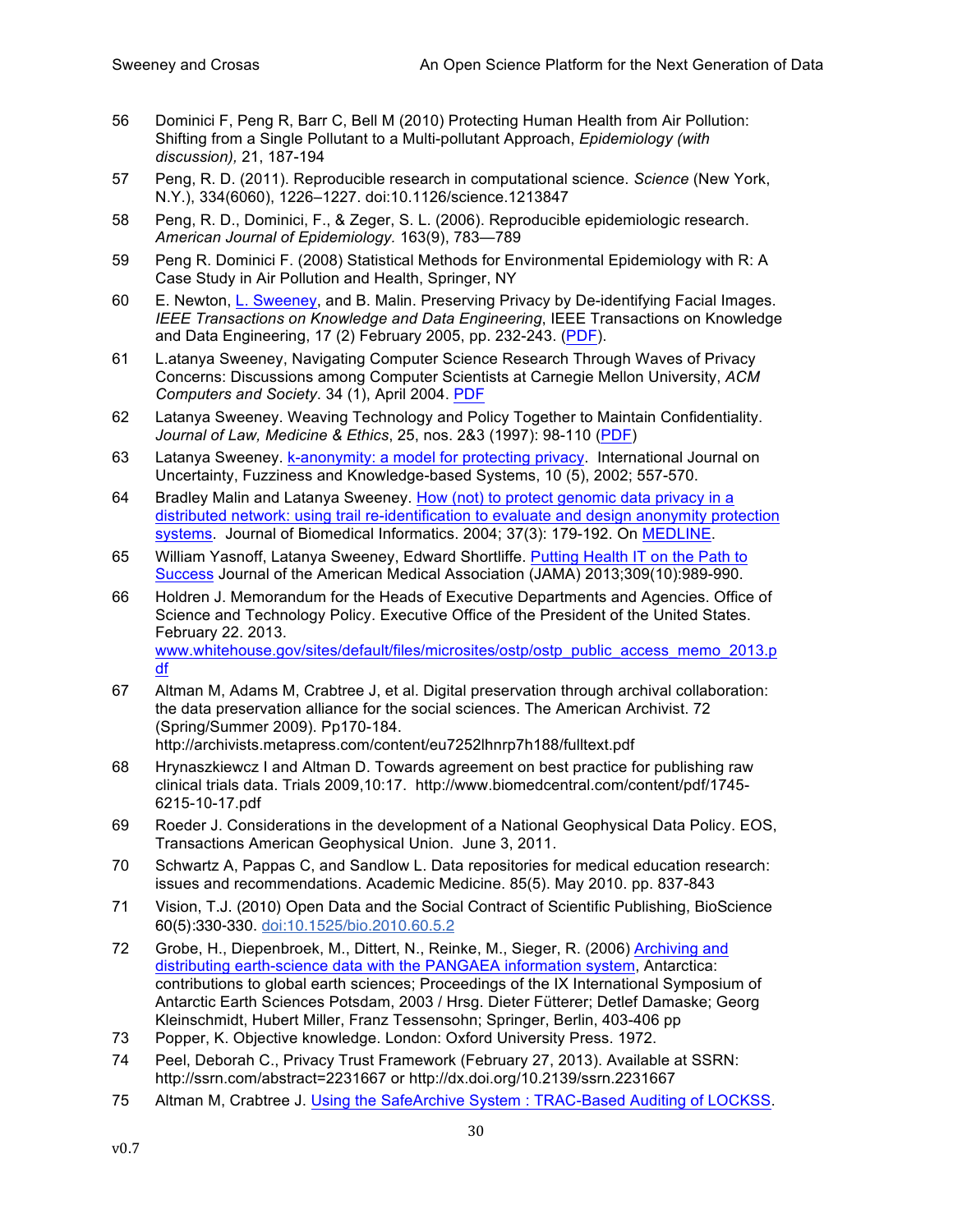- 56 Dominici F, Peng R, Barr C, Bell M (2010) Protecting Human Health from Air Pollution: Shifting from a Single Pollutant to a Multi-pollutant Approach, *Epidemiology (with discussion),* 21, 187-194
- 57 Peng, R. D. (2011). Reproducible research in computational science. *Science* (New York, N.Y.), 334(6060), 1226–1227. doi:10.1126/science.1213847
- 58 Peng, R. D., Dominici, F., & Zeger, S. L. (2006). Reproducible epidemiologic research. *American Journal of Epidemiology.* 163(9), 783—789
- 59 Peng R. Dominici F. (2008) Statistical Methods for Environmental Epidemiology with R: A Case Study in Air Pollution and Health, Springer, NY
- 60 E. Newton, L. Sweeney, and B. Malin. Preserving Privacy by De-identifying Facial Images. *IEEE Transactions on Knowledge and Data Engineering*, IEEE Transactions on Knowledge and Data Engineering, 17 (2) February 2005, pp. 232-243. (PDF).
- 61 L.atanya Sweeney, Navigating Computer Science Research Through Waves of Privacy Concerns: Discussions among Computer Scientists at Carnegie Mellon University, *ACM Computers and Society*. 34 (1), April 2004. PDF
- 62 Latanya Sweeney. Weaving Technology and Policy Together to Maintain Confidentiality. *Journal of Law, Medicine & Ethics*, 25, nos. 2&3 (1997): 98-110 (PDF)
- 63 Latanya Sweeney. k-anonymity: a model for protecting privacy. International Journal on Uncertainty, Fuzziness and Knowledge-based Systems, 10 (5), 2002; 557-570.
- 64 Bradley Malin and Latanya Sweeney. How (not) to protect genomic data privacy in a distributed network: using trail re-identification to evaluate and design anonymity protection systems. Journal of Biomedical Informatics. 2004; 37(3): 179-192. On MEDLINE.
- 65 William Yasnoff, Latanya Sweeney, Edward Shortliffe. Putting Health IT on the Path to Success Journal of the American Medical Association (JAMA) 2013;309(10):989-990.
- 66 Holdren J. Memorandum for the Heads of Executive Departments and Agencies. Office of Science and Technology Policy. Executive Office of the President of the United States. February 22. 2013. www.whitehouse.gov/sites/default/files/microsites/ostp/ostp\_public\_access\_memo\_2013.p df
- 67 Altman M, Adams M, Crabtree J, et al. Digital preservation through archival collaboration: the data preservation alliance for the social sciences. The American Archivist. 72 (Spring/Summer 2009). Pp170-184. http://archivists.metapress.com/content/eu7252lhnrp7h188/fulltext.pdf
- 68 Hrynaszkiewcz I and Altman D. Towards agreement on best practice for publishing raw clinical trials data. Trials 2009,10:17. http://www.biomedcentral.com/content/pdf/1745- 6215-10-17.pdf
- 69 Roeder J. Considerations in the development of a National Geophysical Data Policy. EOS, Transactions American Geophysical Union. June 3, 2011.
- 70 Schwartz A, Pappas C, and Sandlow L. Data repositories for medical education research: issues and recommendations. Academic Medicine. 85(5). May 2010. pp. 837-843
- 71 Vision, T.J. (2010) Open Data and the Social Contract of Scientific Publishing, BioScience 60(5):330-330. doi:10.1525/bio.2010.60.5.2
- 72 Grobe, H., Diepenbroek, M., Dittert, N., Reinke, M., Sieger, R. (2006) Archiving and distributing earth-science data with the PANGAEA information system, Antarctica: contributions to global earth sciences; Proceedings of the IX International Symposium of Antarctic Earth Sciences Potsdam, 2003 / Hrsg. Dieter Fütterer; Detlef Damaske; Georg Kleinschmidt, Hubert Miller, Franz Tessensohn; Springer, Berlin, 403-406 pp
- 73 Popper, K. Objective knowledge. London: Oxford University Press. 1972.
- 74 Peel, Deborah C., Privacy Trust Framework (February 27, 2013). Available at SSRN: http://ssrn.com/abstract=2231667 or http://dx.doi.org/10.2139/ssrn.2231667
- 75 Altman M, Crabtree J. Using the SafeArchive System : TRAC-Based Auditing of LOCKSS.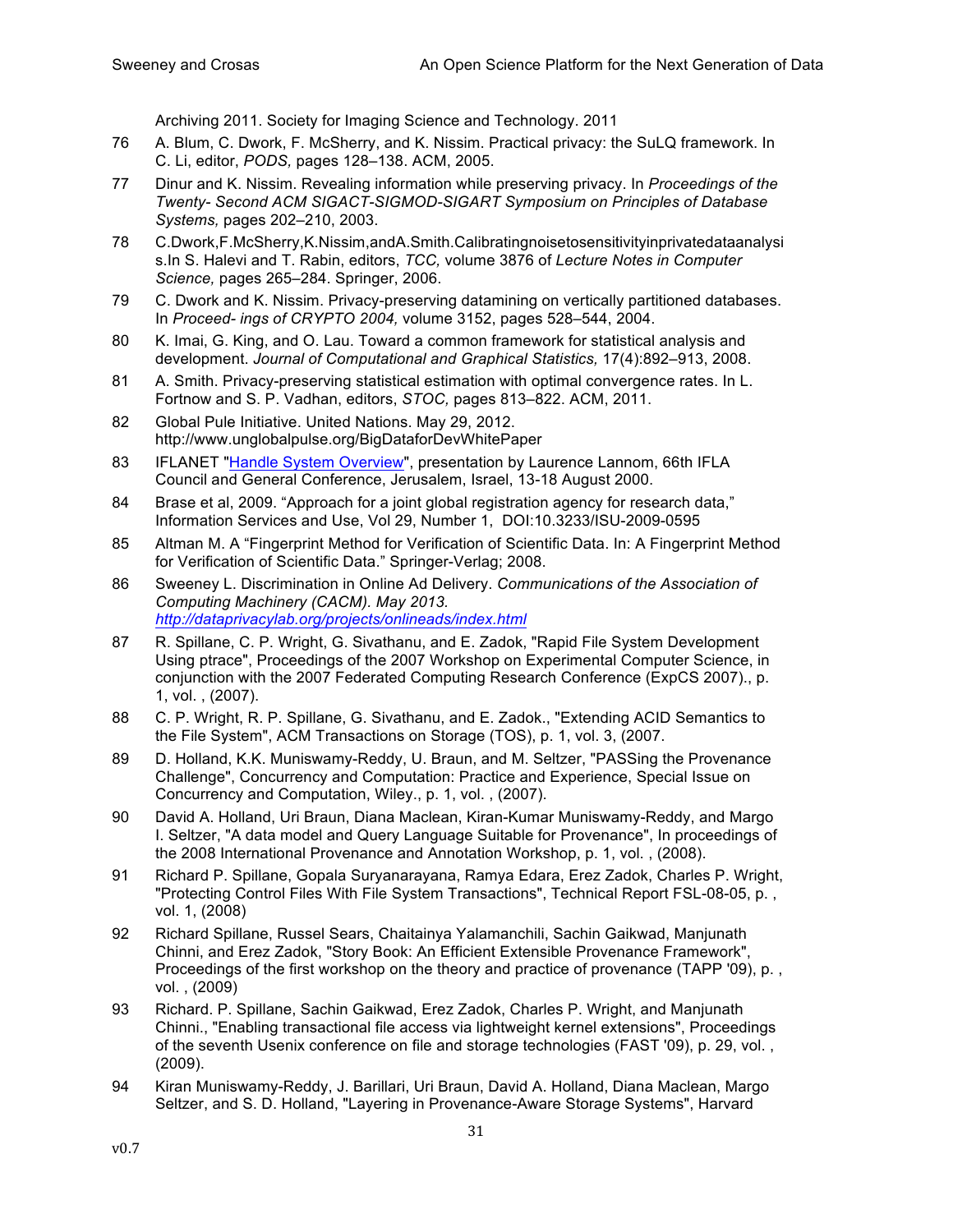Archiving 2011. Society for Imaging Science and Technology. 2011

- 76 A. Blum, C. Dwork, F. McSherry, and K. Nissim. Practical privacy: the SuLQ framework. In C. Li, editor, *PODS,* pages 128–138. ACM, 2005.
- 77 Dinur and K. Nissim. Revealing information while preserving privacy. In *Proceedings of the Twenty- Second ACM SIGACT-SIGMOD-SIGART Symposium on Principles of Database Systems,* pages 202–210, 2003.
- 78 C.Dwork,F.McSherry,K.Nissim,andA.Smith.Calibratingnoisetosensitivityinprivatedataanalysi s.In S. Halevi and T. Rabin, editors, *TCC,* volume 3876 of *Lecture Notes in Computer Science,* pages 265–284. Springer, 2006.
- 79 C. Dwork and K. Nissim. Privacy-preserving datamining on vertically partitioned databases. In *Proceed- ings of CRYPTO 2004,* volume 3152, pages 528–544, 2004.
- 80 K. Imai, G. King, and O. Lau. Toward a common framework for statistical analysis and development. *Journal of Computational and Graphical Statistics,* 17(4):892–913, 2008.
- 81 A. Smith. Privacy-preserving statistical estimation with optimal convergence rates. In L. Fortnow and S. P. Vadhan, editors, *STOC,* pages 813–822. ACM, 2011.
- 82 Global Pule Initiative. United Nations. May 29, 2012. http://www.unglobalpulse.org/BigDataforDevWhitePaper
- 83 IFLANET "Handle System Overview", presentation by Laurence Lannom, 66th IFLA Council and General Conference, Jerusalem, Israel, 13-18 August 2000.
- 84 Brase et al, 2009. "Approach for a joint global registration agency for research data," Information Services and Use, Vol 29, Number 1, DOI:10.3233/ISU-2009-0595
- 85 Altman M. A "Fingerprint Method for Verification of Scientific Data. In: A Fingerprint Method for Verification of Scientific Data." Springer-Verlag; 2008.
- 86 Sweeney L. Discrimination in Online Ad Delivery. *Communications of the Association of Computing Machinery (CACM). May 2013. http://dataprivacylab.org/projects/onlineads/index.html*
- 87 R. Spillane, C. P. Wright, G. Sivathanu, and E. Zadok, "Rapid File System Development Using ptrace", Proceedings of the 2007 Workshop on Experimental Computer Science, in conjunction with the 2007 Federated Computing Research Conference (ExpCS 2007)., p. 1, vol. , (2007).
- 88 C. P. Wright, R. P. Spillane, G. Sivathanu, and E. Zadok., "Extending ACID Semantics to the File System", ACM Transactions on Storage (TOS), p. 1, vol. 3, (2007.
- 89 D. Holland, K.K. Muniswamy-Reddy, U. Braun, and M. Seltzer, "PASSing the Provenance Challenge", Concurrency and Computation: Practice and Experience, Special Issue on Concurrency and Computation, Wiley., p. 1, vol. , (2007).
- 90 David A. Holland, Uri Braun, Diana Maclean, Kiran-Kumar Muniswamy-Reddy, and Margo I. Seltzer, "A data model and Query Language Suitable for Provenance", In proceedings of the 2008 International Provenance and Annotation Workshop, p. 1, vol. , (2008).
- 91 Richard P. Spillane, Gopala Suryanarayana, Ramya Edara, Erez Zadok, Charles P. Wright, "Protecting Control Files With File System Transactions", Technical Report FSL-08-05, p. , vol. 1, (2008)
- 92 Richard Spillane, Russel Sears, Chaitainya Yalamanchili, Sachin Gaikwad, Manjunath Chinni, and Erez Zadok, "Story Book: An Efficient Extensible Provenance Framework", Proceedings of the first workshop on the theory and practice of provenance (TAPP '09), p. , vol. , (2009)
- 93 Richard. P. Spillane, Sachin Gaikwad, Erez Zadok, Charles P. Wright, and Manjunath Chinni., "Enabling transactional file access via lightweight kernel extensions", Proceedings of the seventh Usenix conference on file and storage technologies (FAST '09), p. 29, vol. , (2009).
- 94 Kiran Muniswamy-Reddy, J. Barillari, Uri Braun, David A. Holland, Diana Maclean, Margo Seltzer, and S. D. Holland, "Layering in Provenance-Aware Storage Systems", Harvard